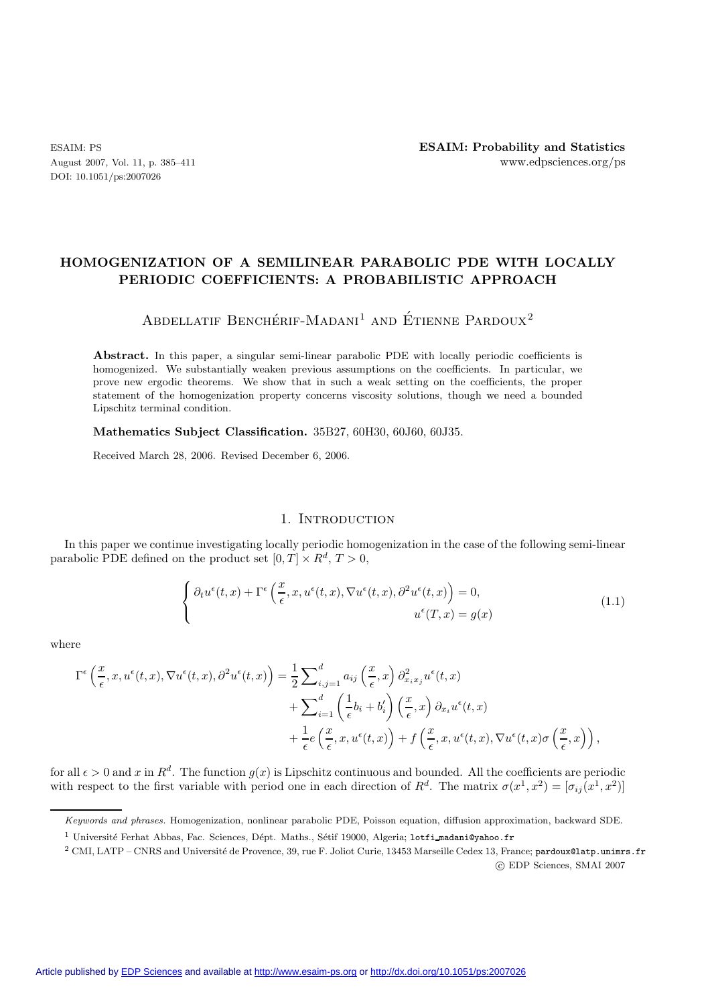DOI: 10.1051/ps:2007026

# **HOMOGENIZATION OF A SEMILINEAR PARABOLIC PDE WITH LOCALLY PERIODIC COEFFICIENTS: A PROBABILISTIC APPROACH**

# ABDELLATIF BENCHÉRIF-MADANI<sup>1</sup> AND ÉTIENNE PARDOUX<sup>2</sup>

**Abstract.** In this paper, a singular semi-linear parabolic PDE with locally periodic coefficients is homogenized. We substantially weaken previous assumptions on the coefficients. In particular, we prove new ergodic theorems. We show that in such a weak setting on the coefficients, the proper statement of the homogenization property concerns viscosity solutions, though we need a bounded Lipschitz terminal condition.

**Mathematics Subject Classification.** 35B27, 60H30, 60J60, 60J35.

Received March 28, 2006. Revised December 6, 2006.

## 1. INTRODUCTION

In this paper we continue investigating locally periodic homogenization in the case of the following semi-linear parabolic PDE defined on the product set  $[0, T] \times R^d$ ,  $T > 0$ ,

$$
\begin{cases} \partial_t u^{\epsilon}(t,x) + \Gamma^{\epsilon}\left(\frac{x}{\epsilon}, x, u^{\epsilon}(t,x), \nabla u^{\epsilon}(t,x), \partial^2 u^{\epsilon}(t,x)\right) = 0, \\ u^{\epsilon}(T,x) = g(x) \end{cases}
$$
\n(1.1)

where

$$
\Gamma^{\epsilon}\left(\frac{x}{\epsilon}, x, u^{\epsilon}(t, x), \nabla u^{\epsilon}(t, x), \partial^{2} u^{\epsilon}(t, x)\right) = \frac{1}{2} \sum_{i,j=1}^{d} a_{ij} \left(\frac{x}{\epsilon}, x\right) \partial_{x_{i}x_{j}}^{2} u^{\epsilon}(t, x) \n+ \sum_{i=1}^{d} \left(\frac{1}{\epsilon} b_{i} + b'_{i}\right) \left(\frac{x}{\epsilon}, x\right) \partial_{x_{i}} u^{\epsilon}(t, x) \n+ \frac{1}{\epsilon} e\left(\frac{x}{\epsilon}, x, u^{\epsilon}(t, x)\right) + f\left(\frac{x}{\epsilon}, x, u^{\epsilon}(t, x), \nabla u^{\epsilon}(t, x) \sigma\left(\frac{x}{\epsilon}, x\right)\right),
$$

for all  $\epsilon > 0$  and x in  $R^d$ . The function  $g(x)$  is Lipschitz continuous and bounded. All the coefficients are periodic with respect to the first variable with period one in each direction of  $R^d$ . The matrix  $\sigma(x^1, x^2)=[\sigma_{ij}(x^1, x^2)]$ 

Keywords and phrases. Homogenization, nonlinear parabolic PDE, Poisson equation, diffusion approximation, backward SDE.

<sup>&</sup>lt;sup>1</sup> Université Ferhat Abbas, Fac. Sciences, Dépt. Maths., Sétif 19000, Algeria; lotfi madani@yahoo.fr

<sup>&</sup>lt;sup>2</sup> CMI, LATP – CNRS and Université de Provence, 39, rue F. Joliot Curie, 13453 Marseille Cedex 13, France; pardoux@latp.unimrs.fr c EDP Sciences, SMAI 2007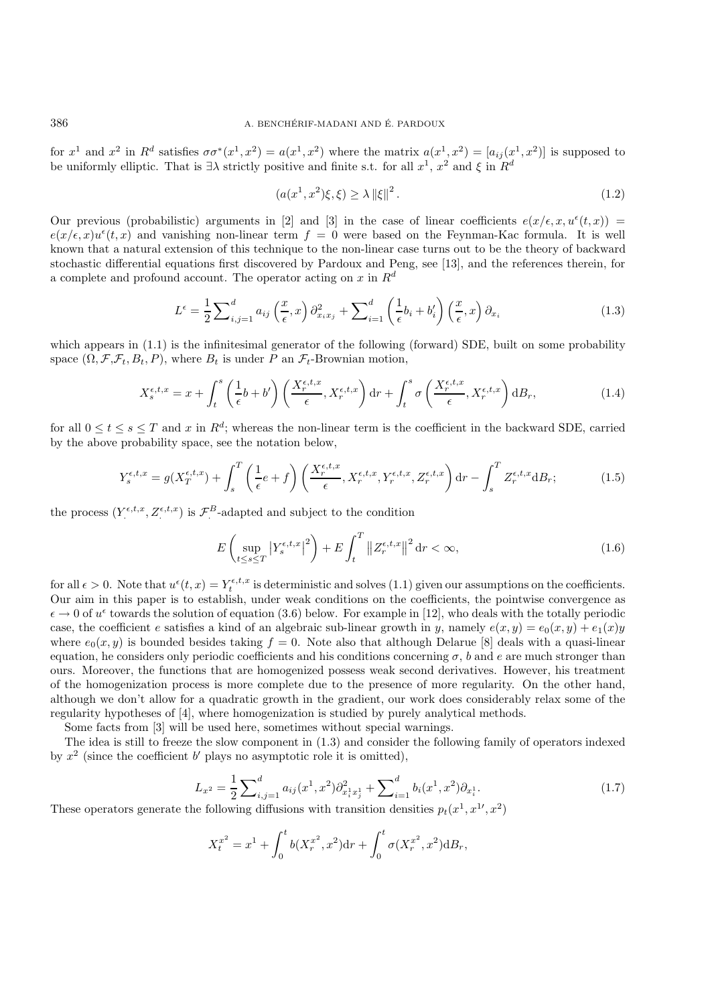for  $x^1$  and  $x^2$  in  $R^d$  satisfies  $\sigma \sigma^*(x^1, x^2) = a(x^1, x^2)$  where the matrix  $a(x^1, x^2) = [a_{ij}(x^1, x^2)]$  is supposed to be uniformly elliptic. That is  $\exists \lambda$  strictly positive and finite s.t. for all  $x^1$ ,  $x^2$  and  $\xi$  in  $R^d$ 

$$
(a(x^1, x^2)\xi, \xi) \ge \lambda \|\xi\|^2. \tag{1.2}
$$

Our previous (probabilistic) arguments in [2] and [3] in the case of linear coefficients  $e(x/\epsilon, x, u^{\epsilon}(t, x))$  =  $e(x/\epsilon, x)u^{\epsilon}(t, x)$  and vanishing non-linear term  $f = 0$  were based on the Feynman-Kac formula. It is well known that a natural extension of this technique to the non-linear case turns out to be the theory of backward stochastic differential equations first discovered by Pardoux and Peng, see [13], and the references therein, for a complete and profound account. The operator acting on x in  $\mathbb{R}^d$ 

$$
L^{\epsilon} = \frac{1}{2} \sum_{i,j=1}^{d} a_{ij} \left(\frac{x}{\epsilon}, x\right) \partial_{x_i x_j}^2 + \sum_{i=1}^{d} \left(\frac{1}{\epsilon} b_i + b'_i\right) \left(\frac{x}{\epsilon}, x\right) \partial_{x_i}
$$
(1.3)

which appears in  $(1.1)$  is the infinitesimal generator of the following (forward) SDE, built on some probability space  $(\Omega, \mathcal{F}, \mathcal{F}_t, B_t, P)$ , where  $B_t$  is under P an  $\mathcal{F}_t$ -Brownian motion,

$$
X_s^{\epsilon,t,x} = x + \int_t^s \left(\frac{1}{\epsilon}b + b'\right) \left(\frac{X_r^{\epsilon,t,x}}{\epsilon}, X_r^{\epsilon,t,x}\right) dr + \int_t^s \sigma\left(\frac{X_r^{\epsilon,t,x}}{\epsilon}, X_r^{\epsilon,t,x}\right) dB_r,\tag{1.4}
$$

for all  $0 \le t \le s \le T$  and x in  $R^d$ ; whereas the non-linear term is the coefficient in the backward SDE, carried by the above probability space, see the notation below,

$$
Y_s^{\epsilon,t,x} = g(X_T^{\epsilon,t,x}) + \int_s^T \left(\frac{1}{\epsilon}e + f\right) \left(\frac{X_r^{\epsilon,t,x}}{\epsilon}, X_r^{\epsilon,t,x}, Y_r^{\epsilon,t,x}, Z_r^{\epsilon,t,x}\right) dr - \int_s^T Z_r^{\epsilon,t,x} dB_r;\tag{1.5}
$$

the process  $(Y^{\epsilon,t,x}, Z^{\epsilon,t,x})$  is  $\mathcal{F}^B$ -adapted and subject to the condition

$$
E\left(\sup_{t\leq s\leq T}|Y_s^{\epsilon,t,x}|^2\right) + E\int_t^T \|Z_r^{\epsilon,t,x}\|^2 \, \mathrm{d}r < \infty,\tag{1.6}
$$

for all  $\epsilon > 0$ . Note that  $u^{\epsilon}(t, x) = Y_t^{\epsilon, t, x}$  is deterministic and solves (1.1) given our assumptions on the coefficients. Our aim in this paper is to establish, under weak conditions on the coefficients, the pointwise convergence as  $\epsilon \to 0$  of  $u^{\epsilon}$  towards the solution of equation (3.6) below. For example in [12], who deals with the totally periodic case, the coefficient e satisfies a kind of an algebraic sub-linear growth in y, namely  $e(x, y) = e_0(x, y) + e_1(x)y$ where  $e_0(x, y)$  is bounded besides taking  $f = 0$ . Note also that although Delarue [8] deals with a quasi-linear equation, he considers only periodic coefficients and his conditions concerning  $\sigma$ , b and e are much stronger than ours. Moreover, the functions that are homogenized possess weak second derivatives. However, his treatment of the homogenization process is more complete due to the presence of more regularity. On the other hand, although we don't allow for a quadratic growth in the gradient, our work does considerably relax some of the regularity hypotheses of [4], where homogenization is studied by purely analytical methods.

Some facts from [3] will be used here, sometimes without special warnings.

The idea is still to freeze the slow component in (1.3) and consider the following family of operators indexed by  $x^2$  (since the coefficient b' plays no asymptotic role it is omitted).

$$
L_{x^2} = \frac{1}{2} \sum_{i,j=1}^d a_{ij}(x^1, x^2) \partial_{x_i^1 x_j^1}^2 + \sum_{i=1}^d b_i(x^1, x^2) \partial_{x_i^1}. \tag{1.7}
$$

These operators generate the following diffusions with transition densities  $p_t(x^1, x^{1\prime}, x^2)$ 

$$
X_t^{x^2} = x^1 + \int_0^t b(X_r^{x^2}, x^2) dr + \int_0^t \sigma(X_r^{x^2}, x^2) dB_r,
$$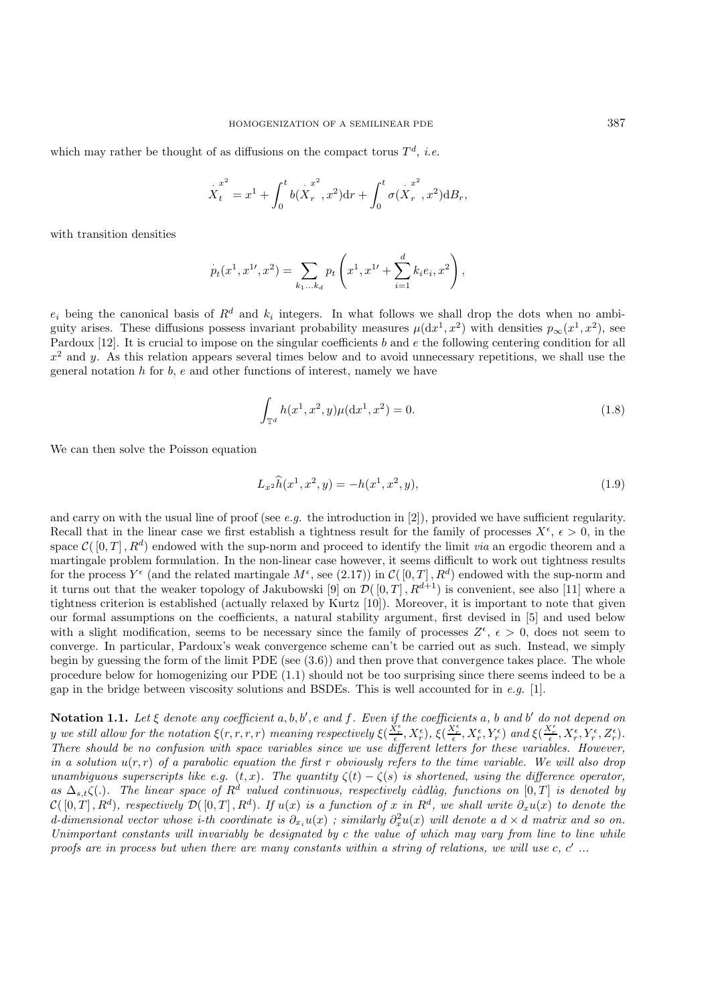which may rather be thought of as diffusions on the compact torus  $T<sup>d</sup>$ , *i.e.* 

$$
\mathop{X_{{t}}}\limits^{\cdot x^2}=x^1+\int_0^t b(\mathop{X_{{r}}}\limits^{\cdot x^2},x^2) \mathrm{d} r+\int_0^t \sigma(\mathop{X_{{r}}}\limits^{\cdot x^2},x^2) \mathrm{d} B_r,
$$

with transition densities

$$
p_t(x^1, x^{1\prime}, x^2) = \sum_{k_1...k_d} p_t\left(x^1, x^{1\prime} + \sum_{i=1}^d k_i e_i, x^2\right),
$$

 $e_i$  being the canonical basis of  $R^d$  and  $k_i$  integers. In what follows we shall drop the dots when no ambiguity arises. These diffusions possess invariant probability measures  $\mu(dx^1, x^2)$  with densities  $p_{\infty}(x^1, x^2)$ , see Pardoux  $[12]$ . It is crucial to impose on the singular coefficients b and e the following centering condition for all  $x^2$  and y. As this relation appears several times below and to avoid unnecessary repetitions, we shall use the general notation  $h$  for  $b$ ,  $e$  and other functions of interest, namely we have

$$
\int_{\mathbb{T}^d} h(x^1, x^2, y) \mu(\mathrm{d}x^1, x^2) = 0. \tag{1.8}
$$

We can then solve the Poisson equation

$$
L_{x^2}\widehat{h}(x^1, x^2, y) = -h(x^1, x^2, y),
$$
\n(1.9)

and carry on with the usual line of proof (see *e.g.* the introduction in [2]), provided we have sufficient regularity. Recall that in the linear case we first establish a tightness result for the family of processes  $X^{\epsilon}$ ,  $\epsilon > 0$ , in the space  $\mathcal{C}([0,T], R^d)$  endowed with the sup-norm and proceed to identify the limit *via* an ergodic theorem and a martingale problem formulation. In the non-linear case however, it seems difficult to work out tightness results for the process  $Y^{\epsilon}$  (and the related martingale  $M^{\epsilon}$ , see (2.17)) in  $\mathcal{C}([0,T], R^d)$  endowed with the sup-norm and it turns out that the weaker topology of Jakubowski [9] on  $\mathcal{D}([0,T], R^{d+1})$  is convenient, see also [11] where a tightness criterion is established (actually relaxed by Kurtz [10]). Moreover, it is important to note that given our formal assumptions on the coefficients, a natural stability argument, first devised in [5] and used below with a slight modification, seems to be necessary since the family of processes  $Z^{\epsilon}$ ,  $\epsilon > 0$ , does not seem to converge. In particular, Pardoux's weak convergence scheme can't be carried out as such. Instead, we simply begin by guessing the form of the limit PDE (see (3.6)) and then prove that convergence takes place. The whole procedure below for homogenizing our PDE (1.1) should not be too surprising since there seems indeed to be a gap in the bridge between viscosity solutions and BSDEs. This is well accounted for in *e.g.* [1].

**Notation 1.1.** *Let* ξ *denote any coefficient* a, b, b , e *and* f*. Even if the coefficients* a*,* b *and* b *do not depend on y* we still allow for the notation  $\xi(r,r,r,r)$  *meaning respectively*  $\xi(\frac{X_r^{\epsilon}}{\epsilon},X_r^{\epsilon})$ ,  $\xi(\frac{X_r^{\epsilon}}{\epsilon},X_r^{\epsilon},Y_r^{\epsilon})$  and  $\xi(\frac{X_r^{\epsilon}}{\epsilon},X_r^{\epsilon},Y_r^{\epsilon},Z_r^{\epsilon})$ . *There should be no confusion with space variables since we use different letters for these variables. However, in a solution* u(r, r) *of a parabolic equation the first* r *obviously refers to the time variable. We will also drop unambiguous superscripts like e.g.*  $(t, x)$ *. The quantity*  $\zeta(t) - \zeta(s)$  *is shortened, using the difference operator,* as  $\Delta_{s,t}\zeta(.)$ . The linear space of  $R^d$  valued continuous, respectively càdlàg, functions on  $[0,T]$  is denoted by  $\mathcal{C}([0,T], R^d)$ , respectively  $\mathcal{D}([0,T], R^d)$ . If  $u(x)$  is a function of x in  $R^d$ , we shall write  $\partial_x u(x)$  to denote the  $d$ -dimensional vector whose *i*-th coordinate is  $\partial_{x_i}u(x)$ ; similarly  $\partial_x^2u(x)$  will denote a  $d \times d$  matrix and so on. *Unimportant constants will invariably be designated by* c *the value of which may vary from line to line while proofs are in process but when there are many constants within a string of relations, we will use c, c'...*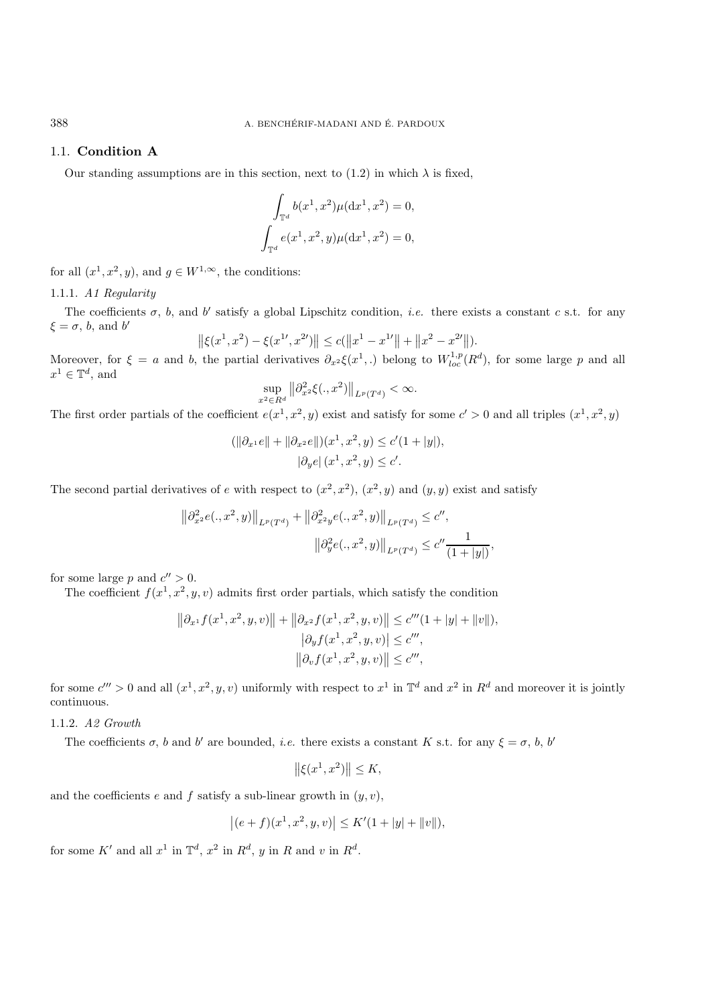## 1.1. **Condition A**

Our standing assumptions are in this section, next to (1.2) in which  $\lambda$  is fixed,

$$
\int_{\mathbb{T}^d} b(x^1, x^2) \mu(dx^1, x^2) = 0,
$$
  

$$
\int_{\mathbb{T}^d} e(x^1, x^2, y) \mu(dx^1, x^2) = 0,
$$

for all  $(x^1, x^2, y)$ , and  $g \in W^{1,\infty}$ , the conditions:

## 1.1.1. *A1 Regularity*

The coefficients  $\sigma$ , b, and b' satisfy a global Lipschitz condition, *i.e.* there exists a constant c s.t. for any  $\xi = \sigma$ , b, and b'

$$
\left\| \xi(x^1, x^2) - \xi(x^{1\prime}, x^{2\prime}) \right\| \le c(\left\| x^1 - x^{1\prime} \right\| + \left\| x^2 - x^{2\prime} \right\|).
$$

Moreover, for  $\xi = a$  and b, the partial derivatives  $\partial_{x^2} \xi(x^1,.)$  belong to  $W_{loc}^{1,p}(R^d)$ , for some large p and all  $x^1\in \mathbb{T}^d,$  and

$$
\sup_{x^2 \in R^d} \left\| \partial_{x^2}^2 \xi(.,x^2) \right\|_{L^p(T^d)} < \infty.
$$

The first order partials of the coefficient  $e(x^1, x^2, y)$  exist and satisfy for some  $c' > 0$  and all triples  $(x^1, x^2, y)$ 

$$
(\|\partial_{x^1}e\| + \|\partial_{x^2}e\|)(x^1, x^2, y) \le c'(1+|y|),
$$
  

$$
|\partial_{y}e|(x^1, x^2, y) \le c'.
$$

The second partial derivatives of e with respect to  $(x^2, x^2)$ ,  $(x^2, y)$  and  $(y, y)$  exist and satisfy

$$
\|\partial_{x^2}^2 e(.,x^2,y)\|_{L^p(T^d)} + \|\partial_{x^2y}^2 e(.,x^2,y)\|_{L^p(T^d)} \le c'',
$$
  

$$
\|\partial_y^2 e(.,x^2,y)\|_{L^p(T^d)} \le c'' \frac{1}{(1+|y|)},
$$

for some large p and  $c'' > 0$ .

The coefficient  $f(x^1, x^2, y, v)$  admits first order partials, which satisfy the condition

$$
||\partial_{x^1} f(x^1, x^2, y, v)|| + ||\partial_{x^2} f(x^1, x^2, y, v)|| \le c'''(1 + |y| + ||v||),
$$
  
\n
$$
|\partial_y f(x^1, x^2, y, v)| \le c''',
$$
  
\n
$$
||\partial_v f(x^1, x^2, y, v)|| \le c''',
$$

for some  $c''' > 0$  and all  $(x^1, x^2, y, v)$  uniformly with respect to  $x^1$  in  $\mathbb{T}^d$  and  $x^2$  in  $R^d$  and moreover it is jointly continuous.

## 1.1.2. *A2 Growth*

The coefficients  $\sigma$ , b and b' are bounded, *i.e.* there exists a constant K s.t. for any  $\xi = \sigma$ , b, b'

$$
\left\|\xi(x^1, x^2)\right\| \le K,
$$

and the coefficients e and f satisfy a sub-linear growth in  $(y, v)$ ,

$$
|(e+f)(x^1, x^2, y, v)| \le K'(1+|y|+||v||),
$$

for some K' and all  $x^1$  in  $\mathbb{T}^d$ ,  $x^2$  in  $R^d$ ,  $y$  in  $R$  and  $v$  in  $R^d$ .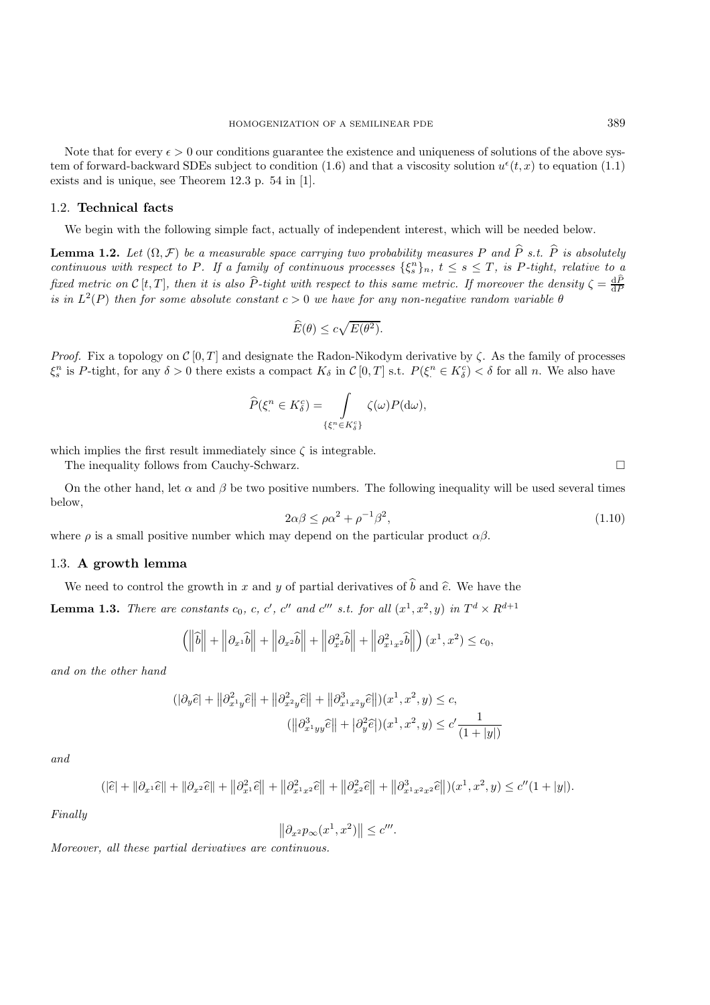Note that for every  $\epsilon > 0$  our conditions guarantee the existence and uniqueness of solutions of the above system of forward-backward SDEs subject to condition (1.6) and that a viscosity solution  $u^{\epsilon}(t, x)$  to equation (1.1) exists and is unique, see Theorem 12.3 p. 54 in [1].

## 1.2. **Technical facts**

We begin with the following simple fact, actually of independent interest, which will be needed below.

**Lemma 1.2.** *Let*  $(\Omega, \mathcal{F})$  *be a measurable space carrying two probability measures* P *and*  $\hat{P}$  *s.t.*  $\hat{P}$  *is absolutely continuous with respect to P. If a family of continuous processes*  $\{\xi_s^n\}_n$ ,  $t \leq s \leq T$ , is P-tight, relative to a *fixed metric on*  $\mathcal{C}[t,T]$ *, then it is also*  $\widehat{P}$ -tight with respect to this same metric. If moreover the density  $\zeta = \frac{d\widehat{P}}{dP}$ *is in*  $L^2(P)$  *then for some absolute constant*  $c > 0$  *we have for any non-negative random variable*  $\theta$ 

$$
\widehat{E}(\theta) \le c\sqrt{E(\theta^2)}.
$$

*Proof.* Fix a topology on  $C[0, T]$  and designate the Radon-Nikodym derivative by  $\zeta$ . As the family of processes  $\xi_s^n$  is P-tight, for any  $\delta > 0$  there exists a compact  $K_\delta$  in  $\mathcal{C}[0,T]$  s.t.  $P(\xi^n \in K_\delta^c) < \delta$  for all n. We also have

$$
\widehat{P}(\xi^n \in K^c_{\delta}) = \int_{\{\xi^n \in K^c_{\delta}\}} \zeta(\omega) P(\mathrm{d}\omega),
$$

which implies the first result immediately since  $\zeta$  is integrable.

The inequality follows from Cauchy-Schwarz.

On the other hand, let  $\alpha$  and  $\beta$  be two positive numbers. The following inequality will be used several times below,

$$
2\alpha\beta \le \rho\alpha^2 + \rho^{-1}\beta^2,\tag{1.10}
$$

where  $\rho$  is a small positive number which may depend on the particular product  $\alpha\beta$ .

#### 1.3. **A growth lemma**

We need to control the growth in x and y of partial derivatives of  $\hat{b}$  and  $\hat{e}$ . We have the

**Lemma 1.3.** *There are constants*  $c_0$ ,  $c$ ,  $c'$ ,  $c''$  and  $c'''$  *s.t. for all*  $(x^1, x^2, y)$  *in*  $T^d \times R^{d+1}$ 

$$
\left(\left\|\hat{b}\right\|+\left\|\partial_{x^1}\hat{b}\right\|+\left\|\partial_{x^2}\hat{b}\right\|+\left\|\partial_{x^2}^2\hat{b}\right\|+\left\|\partial_{x^1x^2}^2\hat{b}\right\|\right)(x^1,x^2)\leq c_0,
$$

*and on the other hand*

$$
(|\partial_y \hat{e}| + ||\partial_{x^1 y}^2 \hat{e}|| + ||\partial_{x^2 y}^2 \hat{e}|| + ||\partial_{x^1 x^2 y}^3 \hat{e}||)(x^1, x^2, y) \le c,
$$
  

$$
(||\partial_{x^1 yy}^3 \hat{e}|| + |\partial_y^2 \hat{e}|)(x^1, x^2, y) \le c' \frac{1}{(1+|y|)}
$$

*and*

$$
(|\hat{e}| + ||\partial_{x^1}\hat{e}|| + ||\partial_{x^2}\hat{e}|| + ||\partial_{x^1}^2\hat{e}|| + ||\partial_{x^1x^2}^2\hat{e}|| + ||\partial_{x^2}^2\hat{e}|| + ||\partial_{x^1x^2x^2}^3\hat{e}||)(x^1, x^2, y) \le c''(1 + |y|).
$$

*Finally*

$$
\left\|\partial_{x^2}p_\infty(x^1,x^2)\right\| \le c'''.
$$

*Moreover, all these partial derivatives are continuous.*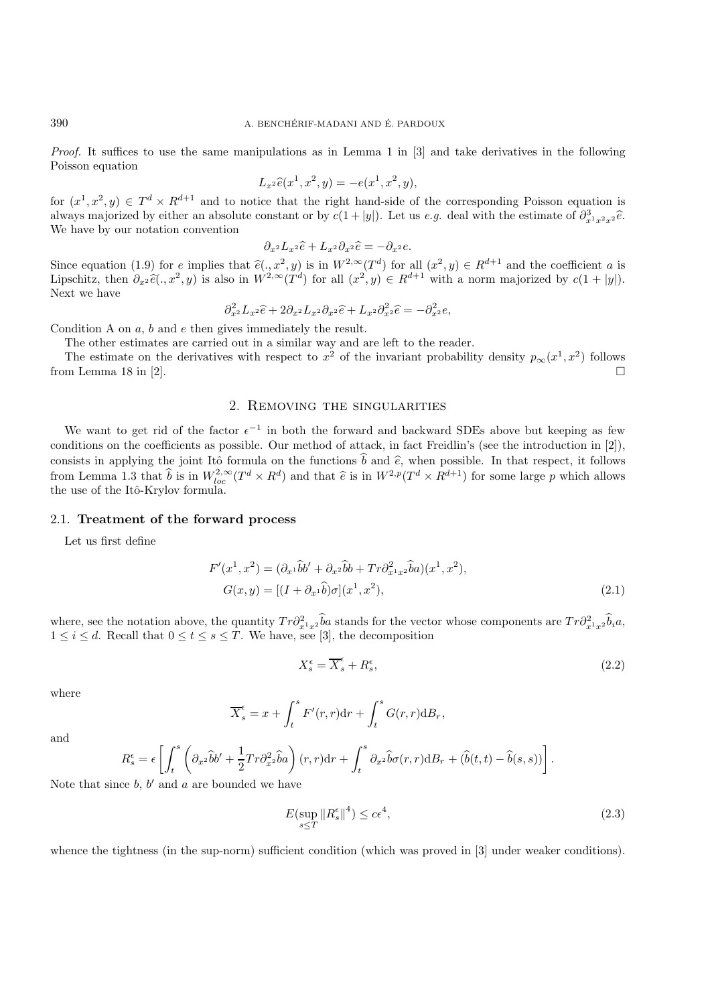*Proof.* It suffices to use the same manipulations as in Lemma 1 in [3] and take derivatives in the following Poisson equation

$$
L_{x^2}\widehat{e}(x^1, x^2, y) = -e(x^1, x^2, y),
$$

for  $(x^1, x^2, y) \in T^d \times R^{d+1}$  and to notice that the right hand-side of the corresponding Poisson equation is always majorized by either an absolute constant or by  $c(1+|y|)$ . Let us *e.g.* deal with the estimate of  $\partial_{x^1x^2x^2}^3\hat{e}$ . We have by our notation convention

$$
\partial_{x^2} L_{x^2} \widehat{e} + L_{x^2} \partial_{x^2} \widehat{e} = -\partial_{x^2} e.
$$

Since equation (1.9) for e implies that  $\hat{e}(., x^2, y)$  is in  $W^{2,\infty}(T^d)$  for all  $(x^2, y) \in R^{d+1}$  and the coefficient a is<br>Linschitz than  $\partial_{\theta} \hat{e}(-x^2, y)$  is also in  $W^{2,\infty}(T^d)$  for all  $(x^2, y) \in R^{d+1}$  with a nor Lipschitz, then  $\partial_{x^2} \hat{e}(\cdot, x^2, y)$  is also in  $W^{2,\infty}(\tilde{T}^d)$  for all  $(x^2, y) \in R^{d+1}$  with a norm majorized by  $c(1+|y|)$ . Next we have

$$
\partial_{x^2}^2 L_{x^2}\widehat{e} + 2\partial_{x^2}L_{x^2}\partial_{x^2}\widehat{e} + L_{x^2}\partial_{x^2}^2\widehat{e} = -\partial_{x^2}^2e,
$$

Condition A on  $a, b$  and  $e$  then gives immediately the result.

The other estimates are carried out in a similar way and are left to the reader.

The estimate on the derivatives with respect to  $x^2$  of the invariant probability density  $p_{\infty}(x^1, x^2)$  follows from Lemma 18 in [2].  $\square$ 

# 2. Removing the singularities

We want to get rid of the factor  $\epsilon^{-1}$  in both the forward and backward SDEs above but keeping as few conditions on the coefficients as possible. Our method of attack, in fact Freidlin's (see the introduction in [2]), consists in applying the joint Itô formula on the functions  $\hat{b}$  and  $\hat{e}$ , when possible. In that respect, it follows from Lemma 1.3 that  $\hat{b}$  is in  $W_{loc}^{2,\infty}(T^d \times R^d)$  and that  $\hat{e}$  is in  $W^{2,p}(T^d \times R^{d+1})$  for some large p which allows the use of the Itô-Krylov formula.

#### 2.1. **Treatment of the forward process**

Let us first define

$$
F'(x1, x2) = (\partial_{x1} \tilde{b}b' + \partial_{x2} \tilde{b}b + Tr \partial_{x1x2}^2 \tilde{b}a)(x1, x2),
$$
  
\n
$$
G(x, y) = [(I + \partial_{x1} \tilde{b})\sigma](x1, x2),
$$
\n(2.1)

where, see the notation above, the quantity  $Tr \partial_{x_1x_2}^2 \hat{b}_a$  stands for the vector whose components are  $Tr \partial_{x_1x_2}^2 \hat{b}_i a$ ,  $1 \leq i \leq d$ . Recall that  $0 \leq t \leq s \leq T$ . We have, see [3], the decomposition

$$
X_s^\epsilon = \overline{X}_s^\epsilon + R_s^\epsilon,\tag{2.2}
$$

.

where

$$
\overline{X}_s^{\epsilon} = x + \int_t^s F'(r, r) dr + \int_t^s G(r, r) dB_r,
$$

and

$$
R_s^{\epsilon} = \epsilon \left[ \int_t^s \left( \partial_{x^2} \hat{b} b' + \frac{1}{2} Tr \partial_{x^2}^2 \hat{b} a \right) (r, r) dr + \int_t^s \partial_{x^2} \hat{b} \sigma(r, r) dB_r + (\hat{b}(t, t) - \hat{b}(s, s)) \right]
$$

Note that since  $b, b'$  and  $a$  are bounded we have

$$
E\left(\sup_{s\leq T} \|R_s^{\epsilon}\|^4\right) \leq c\epsilon^4,\tag{2.3}
$$

whence the tightness (in the sup-norm) sufficient condition (which was proved in [3] under weaker conditions).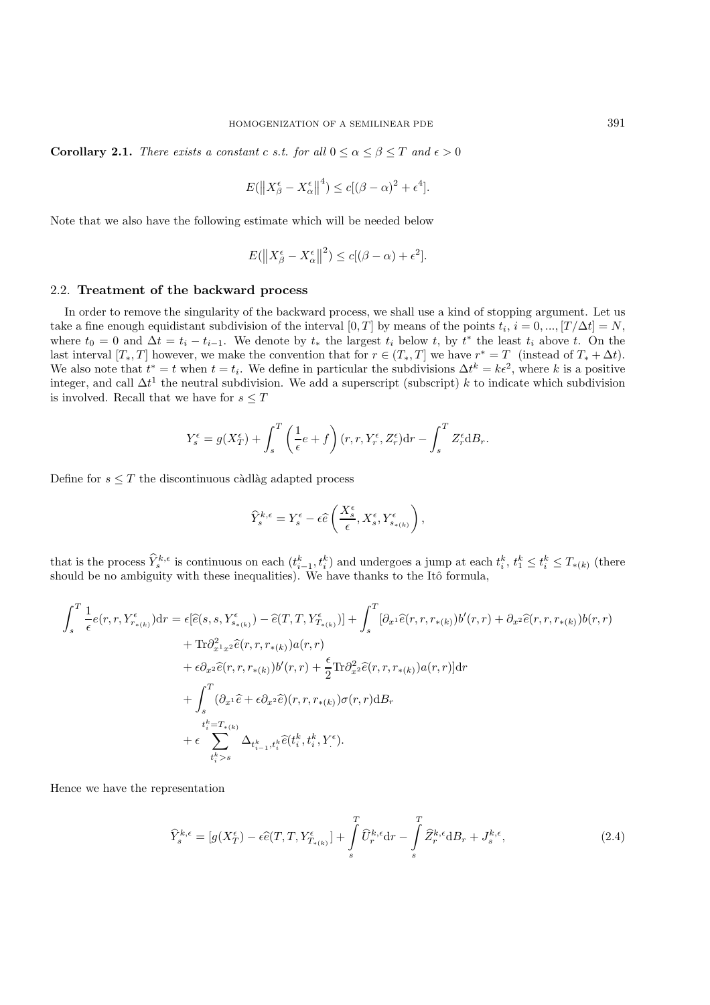**Corollary 2.1.** *There exists a constant c s.t. for all*  $0 \le \alpha \le \beta \le T$  *and*  $\epsilon > 0$ 

$$
E(||X_{\beta}^{\epsilon} - X_{\alpha}^{\epsilon}||^{4}) \le c[(\beta - \alpha)^{2} + \epsilon^{4}].
$$

Note that we also have the following estimate which will be needed below

$$
E(||X_{\beta}^{\epsilon} - X_{\alpha}^{\epsilon}||^{2}) \le c[(\beta - \alpha) + \epsilon^{2}].
$$

#### 2.2. **Treatment of the backward process**

In order to remove the singularity of the backward process, we shall use a kind of stopping argument. Let us take a fine enough equidistant subdivision of the interval [0, T] by means of the points  $t_i$ ,  $i = 0, ..., [T/\Delta t] = N$ , where  $t_0 = 0$  and  $\Delta t = t_i - t_{i-1}$ . We denote by  $t_*$  the largest  $t_i$  below  $t$ , by  $t^*$  the least  $t_i$  above  $t$ . On the last interval  $[T_*,T]$  however, we make the convention that for  $r \in (T_*,T]$  we have  $r^* = T$  (instead of  $T_* + \Delta t$ ). We also note that  $t^* = t$  when  $t = t_i$ . We define in particular the subdivisions  $\Delta t^k = k\epsilon^2$ , where k is a positive integer, and call  $\Delta t^1$  the neutral subdivision. We add a superscript (subscript) k to indicate which subdivision is involved. Recall that we have for  $s \leq T$ 

$$
Y_s^{\epsilon} = g(X_T^{\epsilon}) + \int_s^T \left(\frac{1}{\epsilon}e + f\right)(r, r, Y_r^{\epsilon}, Z_r^{\epsilon})dr - \int_s^T Z_r^{\epsilon} dB_r.
$$

Define for  $s \leq T$  the discontinuous càdlàg adapted process

$$
\widehat{Y}^{k,\epsilon}_s = Y^\epsilon_s - \epsilon \widehat{e}\left(\frac{X^\epsilon_s}{\epsilon}, X^\epsilon_s, Y^\epsilon_{s_{*(k)}}\right),
$$

that is the process  $\hat{Y}_{s}^{k,\epsilon}$  is continuous on each  $(t_{i-1}^{k}, t_i^{k})$  and undergoes a jump at each  $t_i^{k}, t_1^{k} \leq t_i^{k} \leq T_{*(k)}$  (there should be no ambiguity with these inequalities). We have thanks to the Itô formula,

$$
\int_{s}^{T} \frac{1}{\epsilon} e(r, r, Y_{r_{*(k)}}^{\epsilon}) dr = \epsilon [\hat{e}(s, s, Y_{s_{*(k)}}^{\epsilon}) - \hat{e}(T, T, Y_{T_{*(k)}}^{\epsilon})] + \int_{s}^{T} [\partial_{x^{1}} \hat{e}(r, r, r_{*(k)}) b'(r, r) + \partial_{x^{2}} \hat{e}(r, r, r_{*(k)}) b(r, r) \n+ \text{Tr} \partial_{x^{1}x^{2}}^{2} \hat{e}(r, r, r_{*(k)}) a(r, r) \n+ \epsilon \partial_{x^{2}} \hat{e}(r, r, r_{*(k)}) b'(r, r) + \frac{\epsilon}{2} \text{Tr} \partial_{x^{2}}^{2} \hat{e}(r, r, r_{*(k)}) a(r, r) dr \n+ \int_{s}^{T} (\partial_{x^{1}} \hat{e} + \epsilon \partial_{x^{2}} \hat{e})(r, r, r_{*(k)}) \sigma(r, r) dB_{r} \n+ \epsilon \sum_{t_{i}^{k} = T_{*(k)}}^{t} \Delta_{t_{i-1}^{k}, t_{i}^{k}} \hat{e}(t_{i}^{k}, t_{i}^{k}, Y_{i}^{\epsilon}).
$$

Hence we have the representation

$$
\widehat{Y}_{s}^{k,\epsilon} = [g(X_{T}^{\epsilon}) - \epsilon \widehat{e}(T, T, Y_{T_{*(k)}}^{\epsilon})] + \int_{s}^{T} \widehat{U}_{r}^{k,\epsilon} dr - \int_{s}^{T} \widehat{Z}_{r}^{k,\epsilon} dB_{r} + J_{s}^{k,\epsilon},
$$
\n(2.4)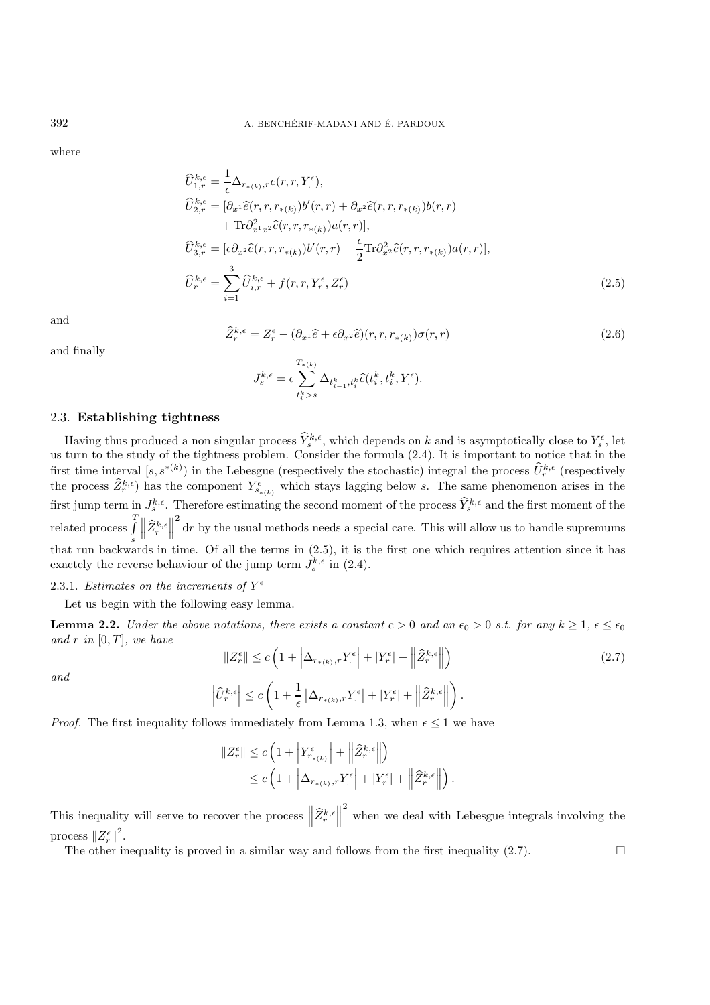where

$$
\widehat{U}_{1,r}^{k,\epsilon} = \frac{1}{\epsilon} \Delta_{r_{*(k)},r} e(r,r,Y_{\cdot}^{\epsilon}),
$$
\n
$$
\widehat{U}_{2,r}^{k,\epsilon} = [\partial_{x^1} \widehat{e}(r,r,r_{*(k)}) b'(r,r) + \partial_{x^2} \widehat{e}(r,r,r_{*(k)}) b(r,r) + \text{Tr} \partial_{x^1 x^2}^2 \widehat{e}(r,r,r_{*(k)}) a(r,r)],
$$
\n
$$
\widehat{U}_{3,r}^{k,\epsilon} = [\epsilon \partial_{x^2} \widehat{e}(r,r,r_{*(k)}) b'(r,r) + \frac{\epsilon}{2} \text{Tr} \partial_{x^2}^2 \widehat{e}(r,r,r_{*(k)}) a(r,r)],
$$
\n
$$
\widehat{U}_{r}^{k,\epsilon} = \sum_{i=1}^{3} \widehat{U}_{i,r}^{k,\epsilon} + f(r,r,Y_{r}^{\epsilon},Z_{r}^{\epsilon})
$$
\n(2.5)

and

and finally

$$
\widehat{Z}_{r}^{k,\epsilon} = Z_{r}^{\epsilon} - (\partial_{x^{1}}\widehat{e} + \epsilon \partial_{x^{2}}\widehat{e})(r, r, r_{*(k)})\sigma(r, r)
$$
\n
$$
J_{s}^{k,\epsilon} = \epsilon \sum_{k=1}^{T_{*(k)}} \Delta_{t_{i-1}^{k}, t_{i}^{k}}\widehat{e}(t_{i}^{k}, t_{i}^{k}, Y_{i}^{\epsilon}).
$$
\n(2.6)

## 2.3. **Establishing tightness**

Having thus produced a non singular process  $\hat{Y}_s^{k,\epsilon}$ , which depends on k and is asymptotically close to  $Y_s^{\epsilon}$ , let us turn to the study of the tightness problem. Consider the formula (2.4). It is important to notice that in the first time interval  $[s, s^{*(k)})$  in the Lebesgue (respectively the stochastic) integral the process  $\hat{U}_r^{k,\epsilon}$  (respectively the process  $\widehat{Z}_r^{k,\epsilon}$  has the component  $Y_{s_{*(k)}}^{\epsilon}$  which stays lagging below s. The same phenomenon arises in the first jump term in  $J_s^{k,\epsilon}$ . Therefore estimating the second moment of the process  $\hat{Y}_s^{k,\epsilon}$  and the first moment of the related process T s  $\left\|\widehat{Z}_{r}^{k,\epsilon}\right\|$ 2 dr by the usual methods needs a special care. This will allow us to handle supremums that run backwards in time. Of all the terms in (2.5), it is the first one which requires attention since it has exactely the reverse behaviour of the jump term  $J_s^{k,\epsilon}$  in (2.4).

 $t_i^k > s$ 

## 2.3.1. *Estimates on the increments of*  $Y^{\epsilon}$

#### Let us begin with the following easy lemma.

**Lemma 2.2.** *Under the above notations, there exists a constant*  $c > 0$  *and an*  $\epsilon_0 > 0$  *s.t. for any*  $k \ge 1$ ,  $\epsilon \le \epsilon_0$ *and*  $r$  *in* [0,  $T$ ], we have

*and*

$$
||Z_r^{\epsilon}|| \le c \left( 1 + \left| \Delta_{r_{*(k)},r} Y_{\cdot}^{\epsilon} \right| + |Y_r^{\epsilon}| + \left\| \widehat{Z}_r^{k,\epsilon} \right\| \right)
$$
  

$$
\left| \widehat{U}_r^{k,\epsilon} \right| \le c \left( 1 + \frac{1}{\epsilon} \left| \Delta_{r_{*(k)},r} Y_{\cdot}^{\epsilon} \right| + |Y_r^{\epsilon}| + \left\| \widehat{Z}_r^{k,\epsilon} \right\| \right).
$$

(2.7)

*Proof.* The first inequality follows immediately from Lemma 1.3, when  $\epsilon \leq 1$  we have

$$
||Z_r^{\epsilon}|| \leq c \left( 1 + \left| Y_{r_{*(k)}}^{\epsilon} \right| + \left\| \widehat{Z}_r^{k,\epsilon} \right\| \right)
$$
  

$$
\leq c \left( 1 + \left| \Delta_{r_{*(k)},r} Y_{\cdot}^{\epsilon} \right| + |Y_r^{\epsilon}| + \left\| \widehat{Z}_r^{k,\epsilon} \right\| \right).
$$

This inequality will serve to recover the process  $\left\|\widehat{Z}_{r}^{k,\epsilon}\right\|$ 2 when we deal with Lebesgue integrals involving the process  $||Z_r^{\epsilon}||^2$ .

The other inequality is proved in a similar way and follows from the first inequality  $(2.7)$ .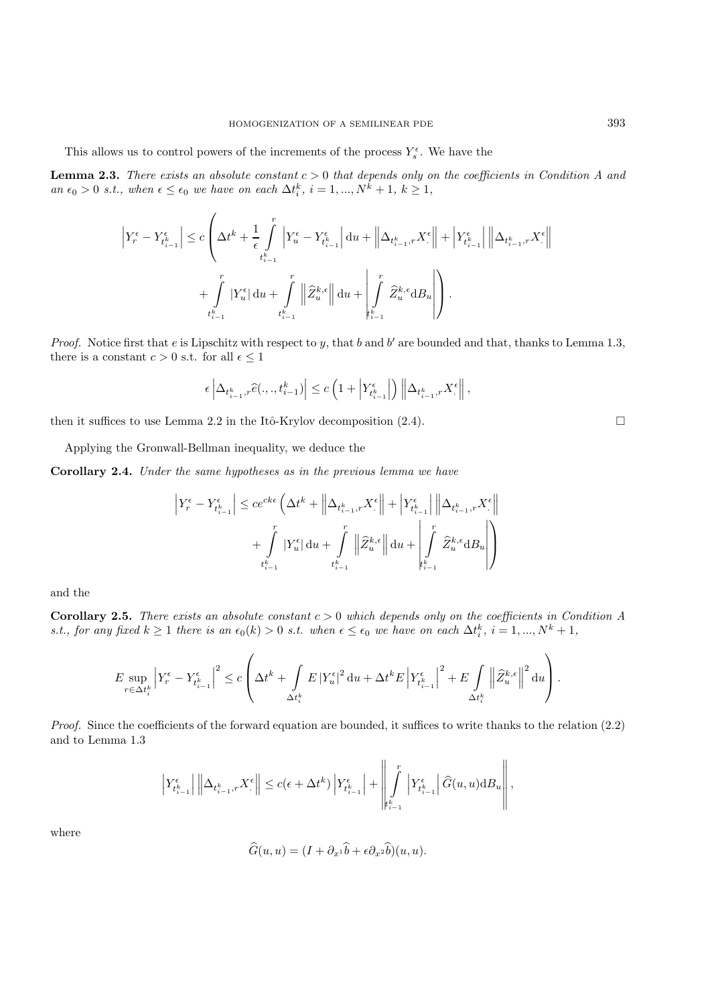This allows us to control powers of the increments of the process  $Y_s^{\epsilon}$ . We have the

**Lemma 2.3.** *There exists an absolute constant*  $c > 0$  *that depends only on the coefficients in Condition A and*  $an \epsilon_0 > 0$  *s.t., when*  $\epsilon \leq \epsilon_0$  *we have on each*  $\Delta t_i^k$ ,  $i = 1, ..., N^k + 1, k \geq 1$ ,

$$
\label{eq:1} \begin{split} \left|Y^{\epsilon}_r-Y^{\epsilon}_{t^k_{i-1}}\right| \leq c&\left(\Delta t^k + \frac{1}{\epsilon}\int\limits_{t^k_{i-1}}^r\left|Y^{\epsilon}_u-Y^{\epsilon}_{t^k_{i-1}}\right|\mathrm{d}u + \left\|\Delta_{t^k_{i-1},r}X^{\epsilon}\right\| + \left|Y^{\epsilon}_{t^k_{i-1}}\right|\left\|\Delta_{t^k_{i-1},r}X^{\epsilon}\right\|\\ & + \int\limits_{t^k_{i-1}}^r|Y^{\epsilon}_u|\,\mathrm{d}u + \int\limits_{t^k_{i-1}}^r\left\|\widehat{Z}^{k,\epsilon}_u\right\|\mathrm{d}u + \left|\int\limits_{t^k_{i-1}}^r\widehat{Z}^{k,\epsilon}_u\mathrm{d}B_u\right|\right). \end{split}
$$

*Proof.* Notice first that e is Lipschitz with respect to y, that b and b' are bounded and that, thanks to Lemma 1.3, there is a constant  $c > 0$  s.t. for all  $\epsilon \leq 1$ 

$$
\epsilon \left| \Delta_{t_{i-1}^k, r} \widehat{e}(.,.,t_{i-1}^k) \right| \leq c \left( 1 + \left| Y_{t_{i-1}^k}^{\epsilon} \right| \right) \left\| \Delta_{t_{i-1}^k, r} X_{\cdot}^{\epsilon} \right\|,
$$

then it suffices to use Lemma 2.2 in the Itô-Krylov decomposition  $(2.4)$ .

Applying the Gronwall-Bellman inequality, we deduce the

**Corollary 2.4.** *Under the same hypotheses as in the previous lemma we have*

$$
\begin{aligned} \left|Y^{\epsilon}_r-Y^{\epsilon}_{t^k_{i-1}}\right| \leq ce^{ck\epsilon}\left(\Delta t^k + \left\|\Delta_{t^k_{i-1},r}X^{\epsilon}_\cdot\right\| + \left|Y^{\epsilon}_{t^k_{i-1}}\right|\left\|\Delta_{t^k_{i-1},r}X^{\epsilon}_\cdot\right\| \\ + \int\limits_{t^k_{i-1}}^r|Y^{\epsilon}_u|\,\mathrm{d} u + \int\limits_{t^k_{i-1}}^r\left\|\widehat{Z}^{k,\epsilon}_u\right\|\,\mathrm{d} u + \int\limits_{t^k_{i-1}}^r\widehat{Z}^{k,\epsilon}_u\mathrm{d} B_u \right| \end{aligned}
$$

and the

**Corollary 2.5.** *There exists an absolute constant* c > 0 *which depends only on the coefficients in Condition A s.t., for any fixed*  $k \ge 1$  *there is an*  $\epsilon_0(k) > 0$  *s.t. when*  $\epsilon \le \epsilon_0$  *we have on each*  $\Delta t_i^k$ ,  $i = 1, ..., N^k + 1$ ,

$$
E\sup_{r\in\Delta t_i^k}\left|Y_r^\epsilon-Y_{t_{i-1}^k}^\epsilon\right|^2\leq c\left(\Delta t^k+\int\limits_{\Delta t_i^k}E\left|Y_u^\epsilon\right|^2\mathrm{d} u+\Delta t^k E\left|Y_{t_{i-1}^k}^\epsilon\right|^2+E\int\limits_{\Delta t_i^k}\left\|\widehat{Z}_u^{k,\epsilon}\right\|^2\mathrm{d} u\right).
$$

*Proof.* Since the coefficients of the forward equation are bounded, it suffices to write thanks to the relation  $(2.2)$ and to Lemma 1.3

$$
\left|Y_{t_{i-1}^k}^{\epsilon}\right|\left\|\Delta_{t_{i-1}^k,r}X_{\cdot}^{\epsilon}\right\| \le c(\epsilon+\Delta t^k)\left|Y_{t_{i-1}^k}^{\epsilon}\right|+\left\|\int\limits_{t_{i-1}^k}^{r}\left|Y_{t_{i-1}^k}^{\epsilon}\right|\widehat{G}(u,u)\mathrm{d}B_u\right\|,
$$

where

$$
\widehat{G}(u, u) = (I + \partial_{x^1}\widehat{b} + \epsilon \partial_{x^2}\widehat{b})(u, u).
$$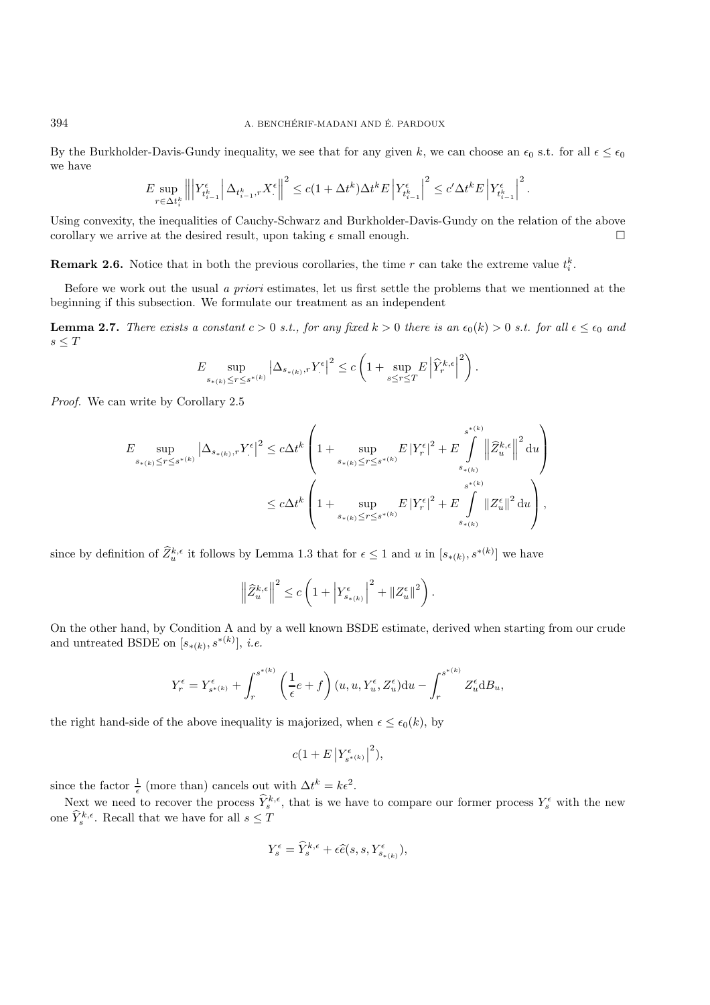By the Burkholder-Davis-Gundy inequality, we see that for any given k, we can choose an  $\epsilon_0$  s.t. for all  $\epsilon \leq \epsilon_0$ we have

$$
E\sup_{r\in\Delta t_i^k} \left\|\left|Y_{t_{i-1}^k}^\epsilon\right|\Delta_{t_{i-1}^k,r}X_\cdot^\epsilon\right\|^2\leq c(1+\Delta t^k)\Delta t^k E\left|Y_{t_{i-1}^k}^\epsilon\right|^2\leq c'\Delta t^k E\left|Y_{t_{i-1}^k}^\epsilon\right|^2.
$$

Using convexity, the inequalities of Cauchy-Schwarz and Burkholder-Davis-Gundy on the relation of the above corollary we arrive at the desired result, upon taking  $\epsilon$  small enough.

**Remark 2.6.** Notice that in both the previous corollaries, the time r can take the extreme value  $t_i^k$ .

Before we work out the usual *a priori* estimates, let us first settle the problems that we mentionned at the beginning if this subsection. We formulate our treatment as an independent

**Lemma 2.7.** *There exists a constant*  $c > 0$  *s.t., for any fixed*  $k > 0$  *there is an*  $\epsilon_0(k) > 0$  *s.t. for all*  $\epsilon \leq \epsilon_0$  *and*  $s\leq T$ 

$$
E \sup_{s_{*(k)} \le r \le s^{*(k)}} \left| \Delta_{s_{*(k)},r} Y^{\epsilon}_\cdot \right|^2 \le c \left( 1 + \sup_{s \le r \le T} E \left| \widehat{Y}^{k,\epsilon}_r \right|^2 \right).
$$

*Proof.* We can write by Corollary 2.5

$$
E \sup_{s_{*(k)} \le r \le s^{*(k)}} \left| \Delta_{s_{*(k)},r} Y_{\cdot}^{\epsilon} \right|^{2} \le c \Delta t^{k} \left( 1 + \sup_{s_{*(k)} \le r \le s^{*(k)}} E \left| Y_{r}^{\epsilon} \right|^{2} + E \int_{s_{*(k)}}^{\epsilon} \left\| \hat{Z}_{u}^{k,\epsilon} \right\|^{2} du \right)
$$
  

$$
\le c \Delta t^{k} \left( 1 + \sup_{s_{*(k)} \le r \le s^{*(k)}} E \left| Y_{r}^{\epsilon} \right|^{2} + E \int_{s_{*(k)}}^{\epsilon} \left\| Z_{u}^{\epsilon} \right\|^{2} du \right),
$$

since by definition of  $\widehat{Z}_{u}^{k,\epsilon}$  it follows by Lemma 1.3 that for  $\epsilon \leq 1$  and u in  $[s_{*(k)}, s^{*(k)}]$  we have

$$
\left\|\widehat{Z}^{k,\epsilon}_u\right\|^2 \leq c\left(1+\left|Y^\epsilon_{s_{\ast(k)}}\right|^2+\|Z^\epsilon_u\|^2\right).
$$

On the other hand, by Condition A and by a well known BSDE estimate, derived when starting from our crude and untreated BSDE on  $[s_{*(k)}, s^{*(k)}], i.e.$ 

$$
Y_r^\epsilon=Y_{s^{*(k)}}^\epsilon+\int_r^{s^{*(k)}}\left(\frac{1}{\epsilon}e+f\right)(u,u,Y_u^\epsilon,Z_u^\epsilon)\mathrm{d}u-\int_r^{s^{*(k)}}Z_u^\epsilon\mathrm{d}B_u,
$$

the right hand-side of the above inequality is majorized, when  $\epsilon \leq \epsilon_0(k)$ , by

$$
c(1+E\left\vert Y_{s^{\ast }(k)}^{\epsilon }\right\vert ^{2}),
$$

since the factor  $\frac{1}{\epsilon}$  (more than) cancels out with  $\Delta t^k = k\epsilon^2$ .

Next we need to recover the process  $\hat{Y}_{s}^{k,\epsilon}$ , that is we have to compare our former process  $Y_{s}^{\epsilon}$  with the new one  $\widehat{Y}_{s}^{k,\epsilon}$ . Recall that we have for all  $s \leq T$ 

$$
Y_s^\epsilon = \widehat{Y}_s^{k,\epsilon} + \epsilon \widehat{e}(s,s,Y_{s_{*(k)}}^\epsilon),
$$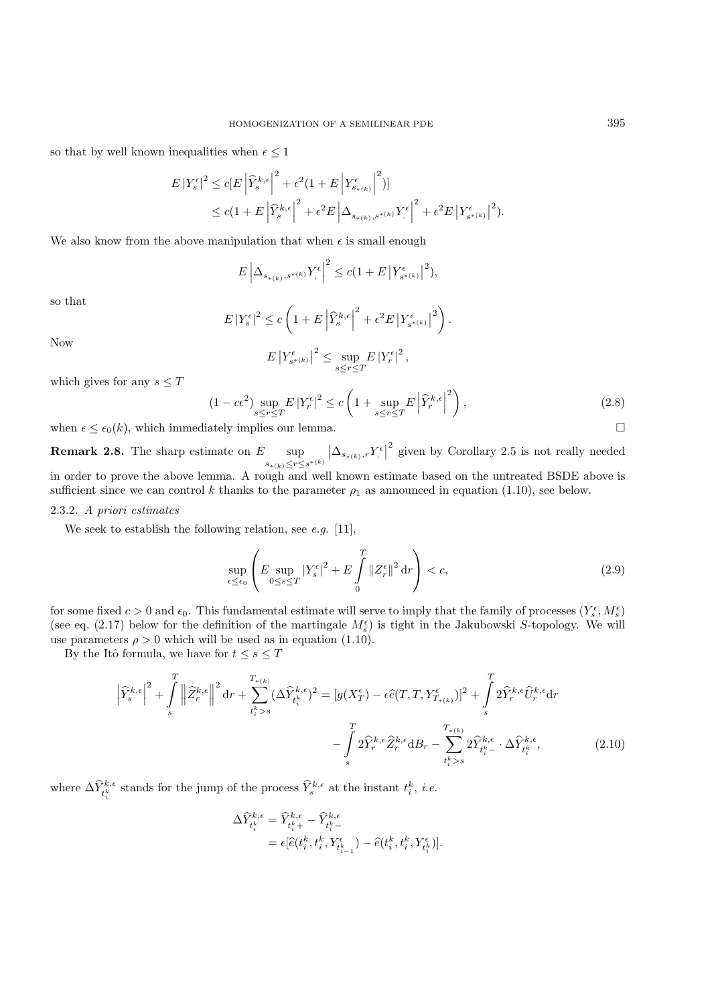so that by well known inequalities when  $\epsilon \leq 1$ 

$$
\begin{split} E\left|Y_{s}^{\epsilon}\right|^{2} &\leq c\big[E\left|\hat{Y}_{s}^{k,\epsilon}\right|^{2}+\epsilon^{2}(1+E\left|Y_{s_{\ast\left(k\right)}}^{\epsilon}\right|^{2})\big] \\ &\leq c(1+E\left|\hat{Y}_{s}^{k,\epsilon}\right|^{2}+\epsilon^{2}E\left|\Delta_{s_{\ast\left(k\right)},s^{\ast\left(k\right)}}Y_{\cdot}^{\epsilon}\right|^{2}+\epsilon^{2}E\left|Y_{s^{\ast\left(k\right)}}^{\epsilon}\right|^{2}). \end{split}
$$

We also know from the above manipulation that when  $\epsilon$  is small enough

$$
E\left|\Delta_{s_{\ast(k)},s^{\ast(k)}}Y^{\epsilon}_\cdot\right|^2\leq c(1+E\left|Y_{s^{\ast(k)}}^{\epsilon}\right|^2),
$$

so that

$$
E\left|Y_s^{\epsilon}\right|^2 \le c\left(1+E\left|\widehat{Y}_s^{k,\epsilon}\right|^2 + \epsilon^2 E\left|Y_{s^{*(k)}}^{\epsilon}\right|^2\right).
$$

Now

$$
E\left|Y_{s^{*(k)}}^{\epsilon}\right|^2 \leq \sup_{s\leq r\leq T} E\left|Y_r^{\epsilon}\right|^2,
$$

which gives for any  $s \leq T$ 

$$
(1 - c\epsilon^2) \sup_{s \le r \le T} E \left| Y_r^{\epsilon} \right|^2 \le c \left( 1 + \sup_{s \le r \le T} E \left| \widehat{Y}_r^{k,\epsilon} \right|^2 \right),\tag{2.8}
$$

when  $\epsilon \leq \epsilon_0(k)$ , which immediately implies our lemma.

**Remark 2.8.** The sharp estimate on  $E$  sup  $s_{*(k)}{\leq}r{\leq}s^{*(k)}$  $\left| \Delta_{s_{*(k)},r} Y^{\epsilon} \right|^2$  given by Corollary 2.5 is not really needed in order to prove the above lemma. A rough and well known estimate based on the untreated BSDE above is sufficient since we can control k thanks to the parameter  $\rho_1$  as announced in equation (1.10), see below.

#### 2.3.2. *A priori estimates*

We seek to establish the following relation, see *e.g.* [11],

$$
\sup_{\epsilon \le \epsilon_0} \left( E \sup_{0 \le s \le T} |Y_s^{\epsilon}|^2 + E \int_0^T \|Z_r^{\epsilon}\|^2 \, \mathrm{d}r \right) < c,\tag{2.9}
$$

for some fixed  $c > 0$  and  $\epsilon_0$ . This fundamental estimate will serve to imply that the family of processes  $(Y_s^{\epsilon}, M_s^{\epsilon})$ (see eq. (2.17) below for the definition of the martingale  $M_s^{\epsilon}$ ) is tight in the Jakubowski S-topology. We will use parameters  $\rho > 0$  which will be used as in equation (1.10).

By the Itô formula, we have for  $t\leq s\leq T$ 

$$
\left|\widehat{Y}_{s}^{k,\epsilon}\right|^{2} + \int_{s}^{T} \left\|\widehat{Z}_{r}^{k,\epsilon}\right\|^{2} dr + \sum_{t_{i}^{k} > s}^{T_{*(k)}} (\Delta \widehat{Y}_{t_{i}^{k}}^{k,\epsilon})^{2} = [g(X_{T}^{\epsilon}) - \epsilon \widehat{e}(T,T,Y_{T_{*(k)}}^{\epsilon})]^{2} + \int_{s}^{T} 2\widehat{Y}_{r}^{k,\epsilon} \widehat{U}_{r}^{k,\epsilon} dr - \int_{s}^{T} 2\widehat{Y}_{r}^{k,\epsilon} \widehat{Z}_{r}^{k,\epsilon} dB_{r} - \sum_{t_{i}^{k} > s}^{T_{*(k)}} 2\widehat{Y}_{t_{i}^{k}}^{k,\epsilon} \cdot \Delta \widehat{Y}_{t_{i}^{k}}^{k,\epsilon}, \tag{2.10}
$$

where  $\Delta \widehat{Y}_{t_i^k}^{k,\epsilon}$  stands for the jump of the process  $\widehat{Y}_s^{k,\epsilon}$  at the instant  $t_i^k$ , *i.e.* 

$$
\begin{array}{llll} \Delta \widehat{Y}_{t_{i}^{k}}^{k,\epsilon}=\widehat{Y}_{t_{i}^{k}+}^{k,\epsilon}-\widehat{Y}_{t_{i}^{k}-}^{k,\epsilon}\\ \qquad=\epsilon[\widehat{e}(t_{i}^{k},t_{i}^{k},Y_{t_{i-1}^{k}}^{\epsilon})-\widehat{e}(t_{i}^{k},t_{i}^{k},Y_{t_{i}^{k}}^{\epsilon})].\end{array}
$$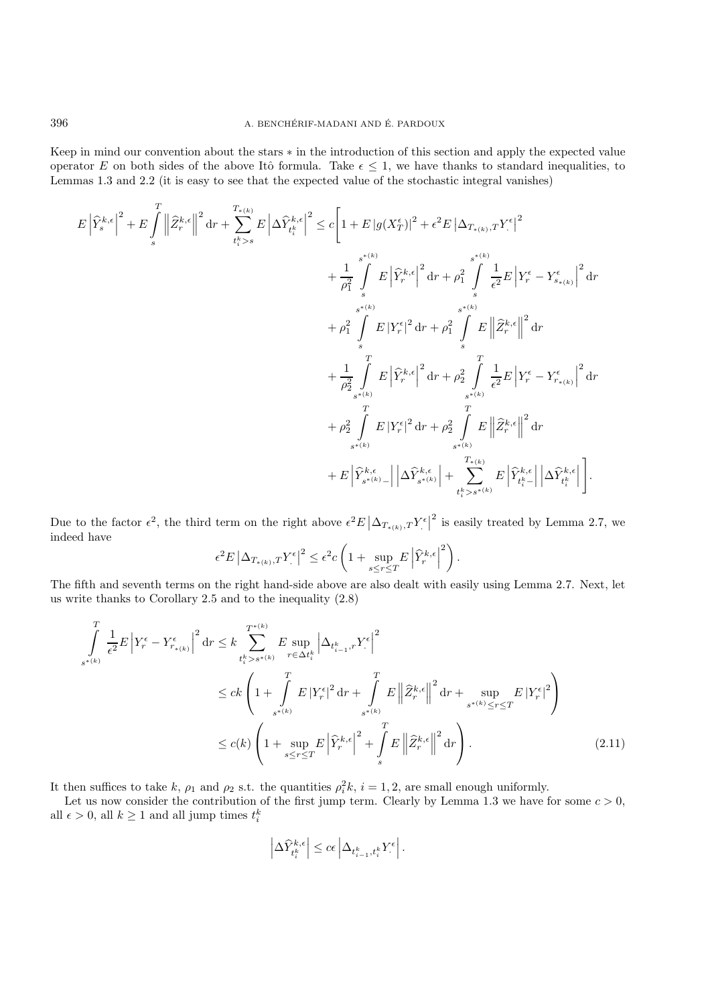Keep in mind our convention about the stars ∗ in the introduction of this section and apply the expected value operator E on both sides of the above Itô formula. Take  $\epsilon \leq 1$ , we have thanks to standard inequalities, to Lemmas 1.3 and 2.2 (it is easy to see that the expected value of the stochastic integral vanishes)

$$
\begin{split} E\left|\widehat{Y}^{k,\epsilon}_s\right|^2 + E\int\limits_s^T \left\|\widehat{Z}^{k,\epsilon}_r\right\|^2\,\mathrm{d} r + \sum\limits_{t^k_t>s}^{T_{*(k)}} E\left|\Delta\widehat{Y}^{k,\epsilon}_{t^k}\right|^2 &\leq c\bigg[1+E\left|g(X_T^\epsilon)\right|^2+\epsilon^2 E\left|\Delta_{T_{*(k)},T}Y^{\epsilon}\right|^2\\ &\qquad \qquad + \frac{1}{\rho_1^2}\int\limits_s^{{s^{*(k)}}} E\left|\widehat{Y}^{k,\epsilon}_r\right|^2\mathrm{d} r + \rho_1^2\int\limits_s^{{s^{*(k)}}} \frac{1}{\epsilon^2}E\left|Y^\epsilon_r-Y^\epsilon_{s_*(k)}\right|^2\mathrm{d} r\\ &\qquad \qquad + \rho_1^2\int\limits_s^{{s^{*(k)}}} E\left|Y^\epsilon_r\right|^2\mathrm{d} r + \rho_1^2\int\limits_s^{{s^{*(k)}}} E\left\|\widehat{Z}^{k,\epsilon}_r\right\|^2\mathrm{d} r\\ &\qquad \qquad + \frac{1}{\rho_2^2}\int\limits_{s^{*(k)}} E\left|\widehat{Y}^{k,\epsilon}_r\right|^2\mathrm{d} r + \rho_2^2\int\limits_{s^{*(k)}}^T \frac{1}{\epsilon^2}E\left|Y^\epsilon_r-Y^\epsilon_{r_*(k)}\right|^2\mathrm{d} r\\ &\qquad \qquad + \rho_2^2\int\limits_{s^{*(k)}} E\left|Y^\epsilon_r\right|^2\mathrm{d} r + \rho_2^2\int\limits_{s^{*(k)}}^T E\left\|\widehat{Z}^{k,\epsilon}_r\right\|^2\mathrm{d} r\\ &\qquad \qquad + E\left|\widehat{Y}^{k,\epsilon}_{s^{*(k)}-}\right|\left|\Delta\widehat{Y}^{k,\epsilon}_{s^{*(k)}}\right| + \sum\limits_{t^k_t>s^{*(k)}}^{T_{*(k)}} E\left|\widehat{Y}^{k,\epsilon}_{t^k-}\right|\left|\Delta\widehat{Y}^{k,\epsilon}_{t^k}\right|\bigg]. \end{split}
$$

Due to the factor  $\epsilon^2$ , the third term on the right above  $\epsilon^2 E |\Delta_{T_{*(k)},T} Y^{\epsilon}|^2$  is easily treated by Lemma 2.7, we indeed have

$$
\epsilon^2 E \left|\Delta_{T_{*(k)},T}Y^{\epsilon}_\cdot\right|^2 \leq \epsilon^2 c \left(1+\sup_{s\leq r\leq T}E\left|\widehat{Y}^{k,\epsilon}_r\right|^2\right).
$$

The fifth and seventh terms on the right hand-side above are also dealt with easily using Lemma 2.7. Next, let us write thanks to Corollary 2.5 and to the inequality (2.8)

$$
\int_{s^{*(k)}}^{T} \frac{1}{\epsilon^2} E \left| Y_r^{\epsilon} - Y_{r_{*(k)}}^{\epsilon} \right|^2 dr \leq k \sum_{t_i^k > s^{*(k)}}^{T^{*(k)}} E \sup_{r \in \Delta t_i^k} \left| \Delta_{t_{i-1}^k, r} Y_{\cdot}^{\epsilon} \right|^2
$$
\n
$$
\leq c k \left( 1 + \int_{s^{*(k)}}^{T} E \left| Y_r^{\epsilon} \right|^2 dr + \int_{s^{*(k)}}^{T} E \left\| \widehat{Z}_r^{k, \epsilon} \right\|^2 dr + \sup_{s^{*(k)} \leq r \leq T} E \left| Y_r^{\epsilon} \right|^2 \right)
$$
\n
$$
\leq c(k) \left( 1 + \sup_{s \leq r \leq T} E \left| \widehat{Y}_r^{k, \epsilon} \right|^2 + \int_{s}^{T} E \left\| \widehat{Z}_r^{k, \epsilon} \right\|^2 dr \right). \tag{2.11}
$$

It then suffices to take k,  $\rho_1$  and  $\rho_2$  s.t. the quantities  $\rho_i^2 k$ ,  $i = 1, 2$ , are small enough uniformly.

Let us now consider the contribution of the first jump term. Clearly by Lemma 1.3 we have for some  $c > 0$ , all  $\epsilon > 0$ , all  $k \ge 1$  and all jump times  $t_i^k$ 

$$
\left|\Delta \widehat{Y}_{t_i^k}^{k,\epsilon}\right| \le c\epsilon \left|\Delta_{t_{i-1}^k,t_i^k} Y_{\cdot}^{\epsilon}\right|.
$$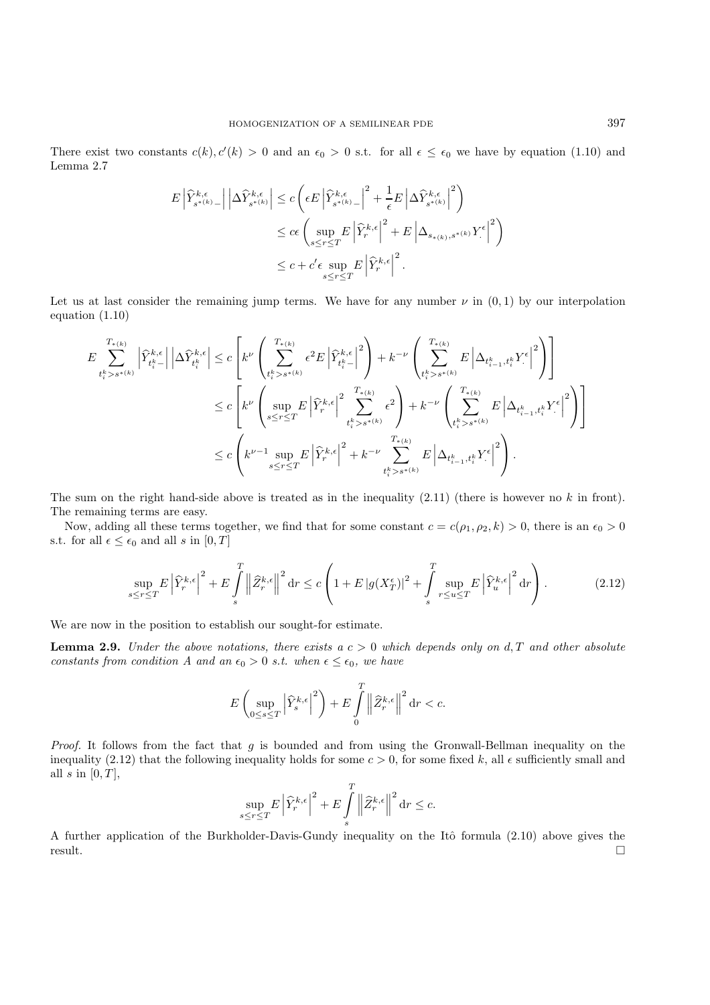There exist two constants  $c(k)$ ,  $c'(k) > 0$  and an  $\epsilon_0 > 0$  s.t. for all  $\epsilon \leq \epsilon_0$  we have by equation (1.10) and Lemma 2.7

$$
\begin{split} E\left|\widehat{Y}_{s^{*(k)}-}^{k,\epsilon}\right| \left|\Delta \widehat{Y}_{s^{*(k)}}^{k,\epsilon}\right| &\leq c\left(\epsilon E\left|\widehat{Y}_{s^{*(k)}-}^{k,\epsilon}\right|^2 + \frac{1}{\epsilon}E\left|\Delta \widehat{Y}_{s^{*(k)}}^{k,\epsilon}\right|^2\right) \\ &\leq c\epsilon\left(\sup_{s\leq r\leq T} E\left|\widehat{Y}_{r}^{k,\epsilon}\right|^2 + E\left|\Delta_{s_{*(k)},s^{*(k)}}Y^{\epsilon}\right|^2\right) \\ &\leq c + c'\epsilon\sup_{s\leq r\leq T} E\left|\widehat{Y}_{r}^{k,\epsilon}\right|^2. \end{split}
$$

Let us at last consider the remaining jump terms. We have for any number  $\nu$  in  $(0, 1)$  by our interpolation equation (1.10)

$$
\begin{split} E\sum_{t_i^k>s^{*(k)}}^{T_{*(k)}}\left|\widehat{Y}_{t_i^k-}^{k,\epsilon}\right|\left|\Delta\widehat{Y}_{t_i^k}^{k,\epsilon}\right| &\leq c\left[k^{\nu}\left(\sum_{t_i^k>s^{*(k)}}^{T_{*(k)}}\epsilon^2E\left|\widehat{Y}_{t_i^k-}^{k,\epsilon}\right|^2\right)+k^{-\nu}\left(\sum_{t_i^k>s^{*(k)}}^{T_{*(k)}}E\left|\Delta_{t_{i-1}^k,t_i^k}Y^{\epsilon}\right|^2\right)\right] \\ &\leq c\left[k^{\nu}\left(\sup_{s\leq r\leq T}E\left|\widehat{Y}_{r}^{k,\epsilon}\right|^2\sum_{t_i^k>s^{*(k)}}^{T_{*(k)}}\epsilon^2\right)+k^{-\nu}\left(\sum_{t_i^k>s^{*(k)}}^{T_{*(k)}}E\left|\Delta_{t_{i-1}^k,t_i^k}Y^{\epsilon}\right|^2\right)\right] \\ &\leq c\left(k^{\nu-1}\sup_{s\leq r\leq T}E\left|\widehat{Y}_{r}^{k,\epsilon}\right|^2+k^{-\nu}\sum_{t_i^k>s^{*(k)}}^{T_{*(k)}}E\left|\Delta_{t_{i-1}^k,t_i^k}Y^{\epsilon}\right|^2\right). \end{split}
$$

The sum on the right hand-side above is treated as in the inequality  $(2.11)$  (there is however no k in front). The remaining terms are easy.

Now, adding all these terms together, we find that for some constant  $c = c(\rho_1, \rho_2, k) > 0$ , there is an  $\epsilon_0 > 0$ s.t. for all  $\epsilon \leq \epsilon_0$  and all s in  $[0, T]$ 

$$
\sup_{s \le r \le T} E \left| \widehat{Y}_r^{k,\epsilon} \right|^2 + E \int_s^T \left\| \widehat{Z}_r^{k,\epsilon} \right\|^2 dr \le c \left( 1 + E \left| g(X_T^{\epsilon}) \right|^2 + \int_s^T \sup_{r \le u \le T} E \left| \widehat{Y}_u^{k,\epsilon} \right|^2 dr \right). \tag{2.12}
$$

We are now in the position to establish our sought-for estimate.

**Lemma 2.9.** *Under the above notations, there exists a*  $c > 0$  *which depends only on*  $d, T$  *and other absolute constants from condition A and an*  $\epsilon_0 > 0$  *s.t. when*  $\epsilon \leq \epsilon_0$ *, we have* 

$$
E\left(\sup_{0\leq s\leq T}\left|\widehat{Y}_{s}^{k,\epsilon}\right|^{2}\right)+E\int\limits_{0}^{T}\left\|\widehat{Z}_{r}^{k,\epsilon}\right\|^{2}{\rm d}r
$$

*Proof.* It follows from the fact that g is bounded and from using the Gronwall-Bellman inequality on the inequality (2.12) that the following inequality holds for some  $c > 0$ , for some fixed k, all  $\epsilon$  sufficiently small and all  $s$  in  $[0, T]$ ,

$$
\sup_{s\leq r\leq T}E\left|\widehat{Y}_{r}^{k,\epsilon}\right|^{2}+E\int\limits_{s}^{T}\left\|\widehat{Z}_{r}^{k,\epsilon}\right\|^{2}{\rm d}r\leq c.
$$

A further application of the Burkholder-Davis-Gundy inequality on the Itô formula (2.10) above gives the result.  $\square$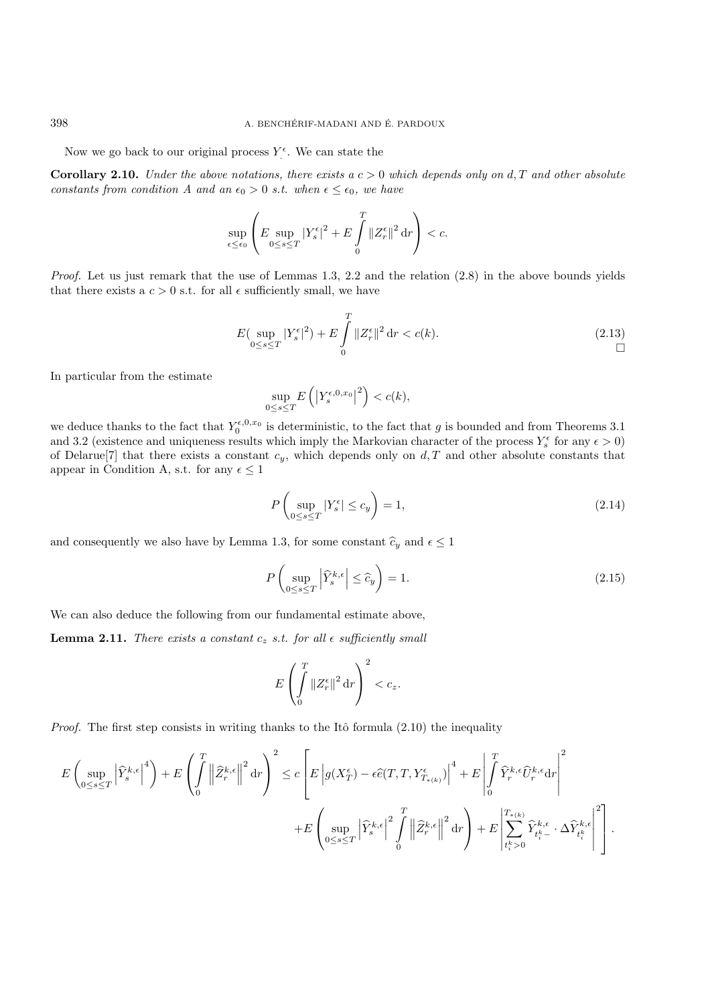Now we go back to our original process  $Y^{\epsilon}$ . We can state the

**Corollary 2.10.** *Under the above notations, there exists a*  $c > 0$  *which depends only on*  $d, T$  *and other absolute constants from condition A and an*  $\epsilon_0 > 0$  *s.t. when*  $\epsilon \leq \epsilon_0$ *, we have* 

$$
\sup_{\epsilon\leq\epsilon_0}\left(E\sup_{0\leq s\leq T}\left|Y_{s}^{\epsilon}\right|^{2}+E\int\limits_{0}^{T}\left\|Z_{r}^{\epsilon}\right\|^{2}{\rm d}r\right)
$$

*Proof.* Let us just remark that the use of Lemmas 1.3, 2.2 and the relation (2.8) in the above bounds yields that there exists a  $c > 0$  s.t. for all  $\epsilon$  sufficiently small, we have

$$
E\left(\sup_{0\leq s\leq T}|Y_s^{\epsilon}|^2\right) + E\int\limits_0^T \|Z_r^{\epsilon}\|^2 \, \mathrm{d}r < c(k). \tag{2.13}
$$

In particular from the estimate

$$
\sup_{0\leq s\leq T} E\left(\left|Y_s^{\epsilon,0,x_0}\right|^2\right) < c(k),
$$

we deduce thanks to the fact that  $Y_0^{\epsilon,0,x_0}$  is deterministic, to the fact that g is bounded and from Theorems 3.1 and 3.2 (existence and uniqueness results which imply the Markovian character of the process  $Y_s^{\epsilon}$  for any  $\epsilon > 0$ ) of Delarue<sup>[7]</sup> that there exists a constant  $c_y$ , which depends only on  $d, T$  and other absolute constants that appear in Condition A, s.t. for any  $\epsilon \leq 1$ 

$$
P\left(\sup_{0\leq s\leq T}|Y_s^{\epsilon}| \leq c_y\right) = 1,\tag{2.14}
$$

and consequently we also have by Lemma 1.3, for some constant  $\hat{c}_y$  and  $\epsilon \leq 1$ 

$$
P\left(\sup_{0\leq s\leq T} \left|\widehat{Y}_s^{k,\epsilon}\right| \leq \widehat{c}_y\right) = 1. \tag{2.15}
$$

We can also deduce the following from our fundamental estimate above,

**Lemma 2.11.** *There exists a constant*  $c_z$  *s.t. for all*  $\epsilon$  *sufficiently small* 

$$
E\left(\int\limits_{0}^{T}\|Z_{r}^{\epsilon}\|^{2} \,\mathrm{d}r\right)^{2} < c_{z}.
$$

*Proof.* The first step consists in writing thanks to the Itô formula  $(2.10)$  the inequality

$$
E\left(\sup_{0\leq s\leq T}\left|\widehat{Y}_{s}^{k,\epsilon}\right|^{4}\right)+E\left(\int\limits_{0}^{T}\left\|\widehat{Z}_{r}^{k,\epsilon}\right\|^{2}{\rm d}r\right)^{2}\leq c\left[E\left|g(X_{T}^{\epsilon})-\epsilon\widehat{e}(T,T,Y_{T_{\ast\left(k\right)}}^{\epsilon})\right|^{4}+E\left|\int\limits_{0}^{T}\widehat{Y}_{r}^{k,\epsilon}\widehat{U}_{r}^{k,\epsilon}{\rm d}r\right|^{2}\right.\\\left.\left.+E\left(\sup_{0\leq s\leq T}\left|\widehat{Y}_{s}^{k,\epsilon}\right|^{2}\int\limits_{0}^{T}\left\|\widehat{Z}_{r}^{k,\epsilon}\right\|^{2}{\rm d}r\right)+E\left|\sum_{t_{i}^{k}>0}^{T_{\ast\left(k\right)}}\widehat{Y}_{t_{i}^{k}}^{k,\epsilon}\cdot\Delta\widehat{Y}_{t_{i}^{k}}^{k,\epsilon}\right|^{2}\right].
$$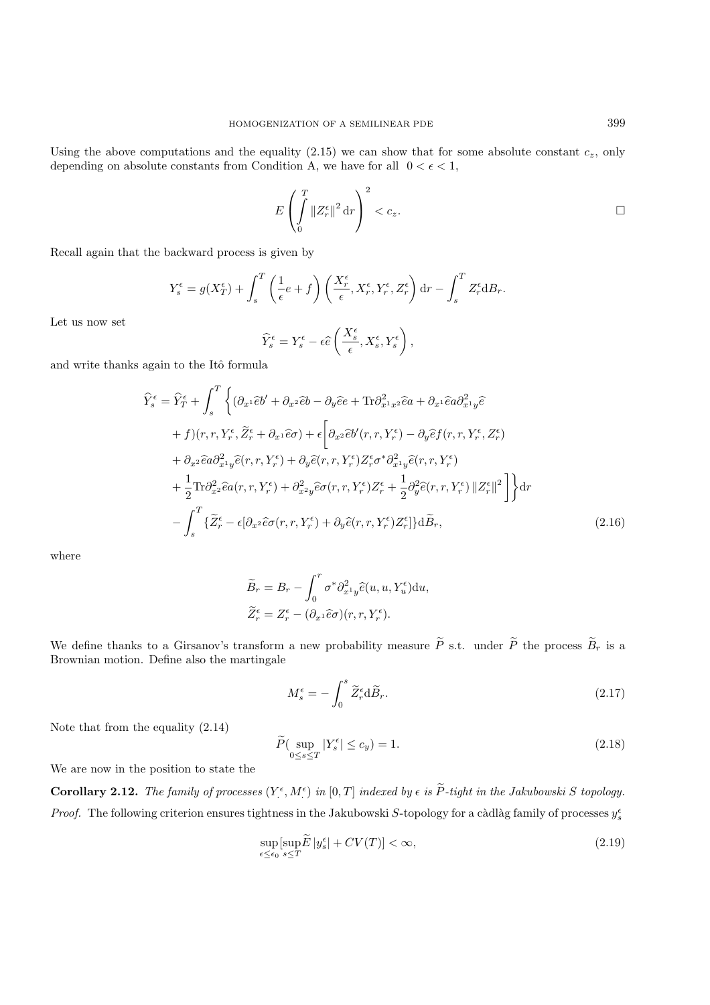Using the above computations and the equality  $(2.15)$  we can show that for some absolute constant  $c_z$ , only depending on absolute constants from Condition A, we have for all  $0 < \epsilon < 1$ ,

$$
E\left(\int\limits_{0}^{T}\|Z_{r}^{\epsilon}\|^{2} \,\mathrm{d} r\right)^{2} < c_{z}.\tag{}
$$

Recall again that the backward process is given by

$$
Y_s^{\epsilon} = g(X_T^{\epsilon}) + \int_s^T \left(\frac{1}{\epsilon}e + f\right) \left(\frac{X_r^{\epsilon}}{\epsilon}, X_r^{\epsilon}, Y_r^{\epsilon}, Z_r^{\epsilon}\right) dr - \int_s^T Z_r^{\epsilon} dB_r.
$$

Let us now set

$$
\widehat{Y}^{\epsilon}_s = Y^{\epsilon}_s - \epsilon \widehat{e} \left( \frac{X^{\epsilon}_s}{\epsilon}, X^{\epsilon}_s, Y^{\epsilon}_s \right),
$$

and write thanks again to the Itô formula

$$
\widehat{Y}_{s}^{\epsilon} = \widehat{Y}_{T}^{\epsilon} + \int_{s}^{T} \left\{ (\partial_{x^{1}} \widehat{e}b' + \partial_{x^{2}} \widehat{e}b - \partial_{y} \widehat{e}e + \text{Tr} \partial_{x^{1}x^{2}}^{2} \widehat{e}a + \partial_{x^{1}} \widehat{e}a \partial_{x^{1}y}^{2} \widehat{e} \right. \\
\left. + f \right) (r, r, Y_{r}^{\epsilon}, \widetilde{Z}_{r}^{\epsilon} + \partial_{x^{1}} \widehat{e}\sigma) + \epsilon \left[ \partial_{x^{2}} \widehat{e}b'(r, r, Y_{r}^{\epsilon}) - \partial_{y} \widehat{e}f(r, r, Y_{r}^{\epsilon}, Z_{r}^{\epsilon}) \right. \\
\left. + \partial_{x^{2}} \widehat{e}a \partial_{x^{1}y}^{2} \widehat{e}(r, r, Y_{r}^{\epsilon}) + \partial_{y} \widehat{e}(r, r, Y_{r}^{\epsilon}) Z_{r}^{\epsilon} \sigma^{*} \partial_{x^{1}y}^{2} \widehat{e}(r, r, Y_{r}^{\epsilon}) \right. \\
\left. + \frac{1}{2} \text{Tr} \partial_{x^{2}}^{2} \widehat{e}a(r, r, Y_{r}^{\epsilon}) + \partial_{x^{2}y}^{2} \widehat{e}\sigma(r, r, Y_{r}^{\epsilon}) Z_{r}^{\epsilon} + \frac{1}{2} \partial_{y}^{2} \widehat{e}(r, r, Y_{r}^{\epsilon}) ||Z_{r}^{\epsilon}||^{2} \right] \right\} dr \\
\left. - \int_{s}^{T} \left\{ \widetilde{Z}_{r}^{\epsilon} - \epsilon [\partial_{x^{2}} \widehat{e}\sigma(r, r, Y_{r}^{\epsilon}) + \partial_{y} \widehat{e}(r, r, Y_{r}^{\epsilon}) Z_{r}^{\epsilon}] \right\} d\widetilde{B}_{r}, \tag{2.16}
$$

where

$$
\widetilde{B}_r = B_r - \int_0^r \sigma^* \partial_{x^1 y}^2 \widehat{e}(u, u, Y_u^{\epsilon}) \mathrm{d}u,
$$
  

$$
\widetilde{Z}_r^{\epsilon} = Z_r^{\epsilon} - (\partial_{x^1} \widehat{e}\sigma)(r, r, Y_r^{\epsilon}).
$$

We define thanks to a Girsanov's transform a new probability measure  $\tilde{P}$  s.t. under  $\tilde{P}$  the process  $\tilde{B}_r$  is a Brownian motion. Define also the martingale

$$
M_s^{\epsilon} = -\int_0^s \widetilde{Z}_r^{\epsilon} d\widetilde{B}_r. \tag{2.17}
$$

Note that from the equality (2.14)

$$
\widetilde{P}(\sup_{0 \le s \le T} |Y_s^{\epsilon}| \le c_y) = 1. \tag{2.18}
$$

We are now in the position to state the

**Corollary 2.12.** The family of processes  $(Y^{\epsilon}, M^{\epsilon})$  in  $[0, T]$  indexed by  $\epsilon$  is  $\tilde{P}$ -tight in the Jakubowski S topology. *Proof.* The following criterion ensures tightness in the Jakubowski S-topology for a càdlàg family of processes  $y_s^{\epsilon}$ 

$$
\sup_{\epsilon \le \epsilon_0} \sup_{s \le T} \widetilde{E} |y_s^{\epsilon}| + CV(T)| < \infty,\tag{2.19}
$$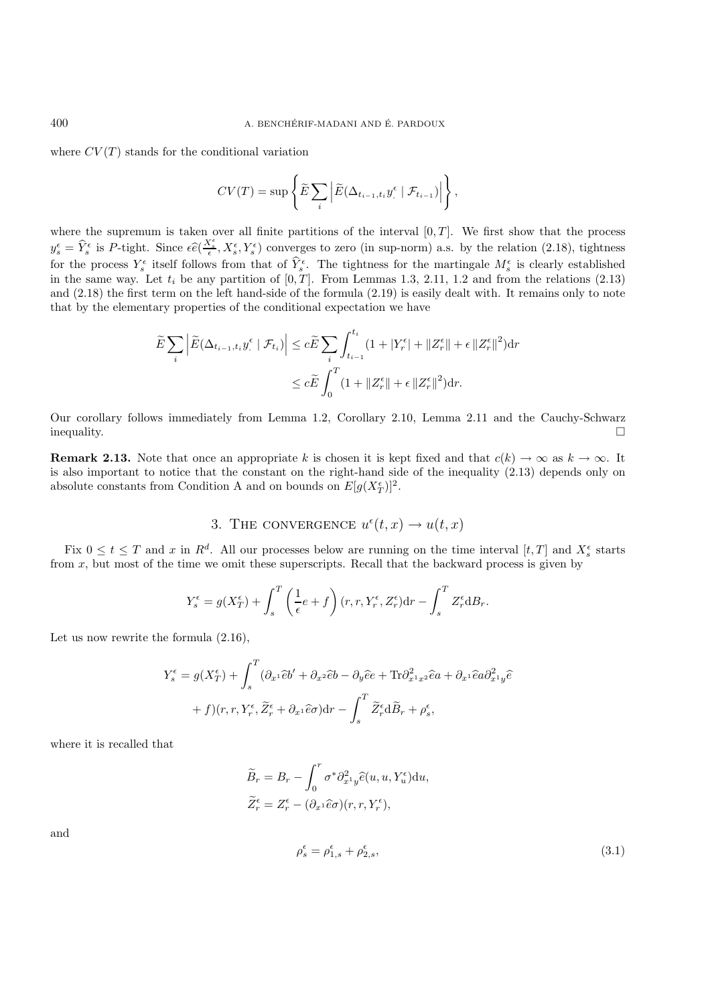where  $CV(T)$  stands for the conditional variation

$$
CV(T) = \sup \left\{ \widetilde{E} \sum_{i} \left| \widetilde{E}(\Delta_{t_{i-1}, t_i} y_{\cdot}^{\epsilon} | \mathcal{F}_{t_{i-1}}) \right| \right\},\,
$$

where the supremum is taken over all finite partitions of the interval  $[0, T]$ . We first show that the process  $y_s^{\epsilon} = \hat{Y}_s^{\epsilon}$  is P-tight. Since  $\epsilon \hat{e}(\frac{X_s^{\epsilon}}{\epsilon}, X_s^{\epsilon}, Y_s^{\epsilon})$  converges to zero (in sup-norm) a.s. by the relation (2.18), tightness for the process  $Y_s^{\epsilon}$  itself follows from that of  $\hat{Y}_s^{\epsilon}$ . The tightness for the martingale  $M_s^{\epsilon}$  is clearly established in the same way. Let  $t_i$  be any partition of  $[0, T]$ . From Lemmas 1.3, 2.11, 1.2 and from the relations (2.13) and (2.18) the first term on the left hand-side of the formula (2.19) is easily dealt with. It remains only to note that by the elementary properties of the conditional expectation we have

$$
\widetilde{E}\sum_{i}\left|\widetilde{E}(\Delta_{t_{i-1},t_i}y^{\epsilon}\mid\mathcal{F}_{t_i})\right| \leq c\widetilde{E}\sum_{i}\int_{t_{i-1}}^{t_i} (1+|Y^{\epsilon}_{r}|+||Z^{\epsilon}_{r}||+\epsilon||Z^{\epsilon}_{r}||^{2})\mathrm{d}r
$$

$$
\leq c\widetilde{E}\int_{0}^{T} (1+||Z^{\epsilon}_{r}||+\epsilon||Z^{\epsilon}_{r}||^{2})\mathrm{d}r.
$$

Our corollary follows immediately from Lemma 1.2, Corollary 2.10, Lemma 2.11 and the Cauchy-Schwarz inequality.  $\Box$ 

**Remark 2.13.** Note that once an appropriate k is chosen it is kept fixed and that  $c(k) \to \infty$  as  $k \to \infty$ . It is also important to notice that the constant on the right-hand side of the inequality (2.13) depends only on absolute constants from Condition A and on bounds on  $E[g(X_T^{\epsilon})]^2$ .

3. THE CONVERGENCE 
$$
u^{\epsilon}(t, x) \rightarrow u(t, x)
$$

Fix  $0 \le t \le T$  and x in  $R^d$ . All our processes below are running on the time interval  $[t, T]$  and  $X_s^{\epsilon}$  starts from x, but most of the time we omit these superscripts. Recall that the backward process is given by

$$
Y_s^{\epsilon} = g(X_T^{\epsilon}) + \int_s^T \left(\frac{1}{\epsilon}e + f\right)(r, r, Y_r^{\epsilon}, Z_r^{\epsilon})dr - \int_s^T Z_r^{\epsilon} dB_r.
$$

Let us now rewrite the formula (2.16),

$$
Y_s^{\epsilon} = g(X_T^{\epsilon}) + \int_s^T (\partial_{x^1} \hat{e}b' + \partial_{x^2} \hat{e}b - \partial_y \hat{e}e + \text{Tr}\partial_{x^1 x^2}^2 \hat{e}a + \partial_{x^1} \hat{e}a \partial_{x^1 y}^2 \hat{e} + f)(r, r, Y_r^{\epsilon}, \widetilde{Z}_r^{\epsilon} + \partial_{x^1} \hat{e}c) dr - \int_s^T \widetilde{Z}_r^{\epsilon} d\widetilde{B}_r + \rho_s^{\epsilon},
$$

where it is recalled that

$$
\widetilde{B}_r = B_r - \int_0^r \sigma^* \partial_{x^1 y}^2 \widehat{e}(u, u, Y_u^{\epsilon}) \mathrm{d}u,
$$
  

$$
\widetilde{Z}_r^{\epsilon} = Z_r^{\epsilon} - (\partial_{x^1} \widehat{e}\sigma)(r, r, Y_r^{\epsilon}),
$$

and

$$
\rho_s^{\epsilon} = \rho_{1,s}^{\epsilon} + \rho_{2,s}^{\epsilon},\tag{3.1}
$$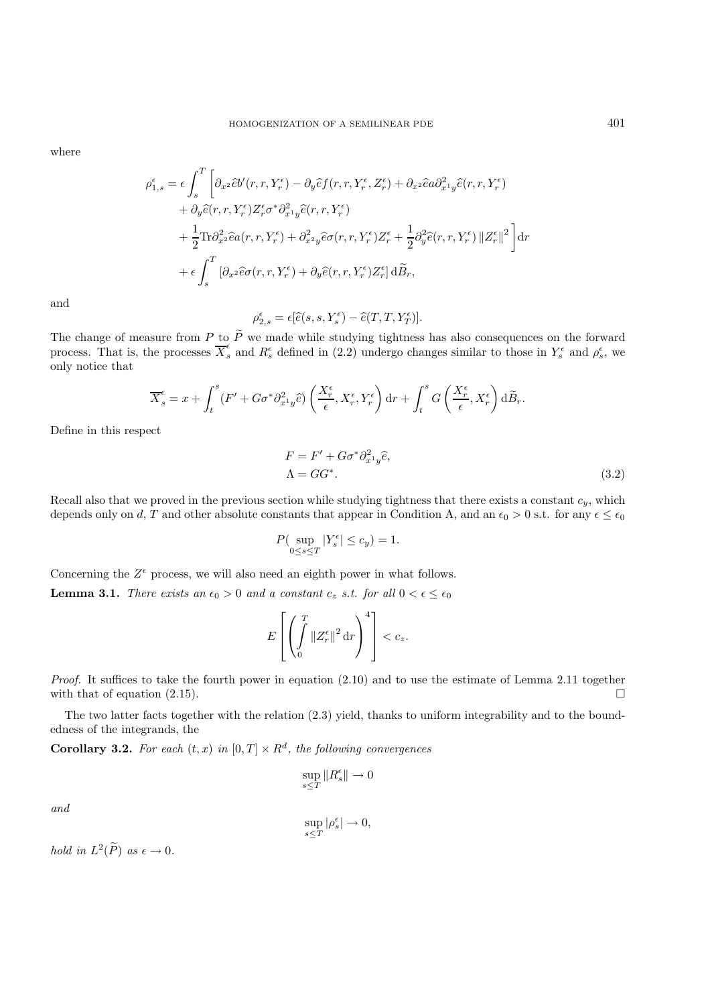where

$$
\rho_{1,s}^{\epsilon} = \epsilon \int_{s}^{T} \left[ \partial_{x^2} \hat{e} b'(r, r, Y_r^{\epsilon}) - \partial_{y} \hat{e} f(r, r, Y_r^{\epsilon}, Z_r^{\epsilon}) + \partial_{x^2} \hat{e} a \partial_{x^1 y}^2 \hat{e}(r, r, Y_r^{\epsilon}) \right. \\
\left. + \partial_{y} \hat{e}(r, r, Y_r^{\epsilon}) Z_r^{\epsilon} \sigma^* \partial_{x^1 y}^2 \hat{e}(r, r, Y_r^{\epsilon}) \right. \\
\left. + \frac{1}{2} \text{Tr} \partial_{x^2}^2 \hat{e} a(r, r, Y_r^{\epsilon}) + \partial_{x^2 y}^2 \hat{e} \sigma(r, r, Y_r^{\epsilon}) Z_r^{\epsilon} + \frac{1}{2} \partial_{y}^2 \hat{e}(r, r, Y_r^{\epsilon}) ||Z_r^{\epsilon}||^2 \right] dr \\
+ \epsilon \int_{s}^{T} \left[ \partial_{x^2} \hat{e} \sigma(r, r, Y_r^{\epsilon}) + \partial_{y} \hat{e}(r, r, Y_r^{\epsilon}) Z_r^{\epsilon} \right] d\tilde{B}_r,
$$

and

 $\rho_{2,s}^{\epsilon} = \epsilon [\widehat{e}(s,s,Y_s^{\epsilon}) - \widehat{e}(T,T,Y_T^{\epsilon})].$ 

The change of measure from P to P we made while studying tightness has also consequences on the forward process. That is, the processes  $\overline{X}_s^{\epsilon}$  and  $R_s^{\epsilon}$  defined in (2.2) undergo changes similar to those in  $Y_s^{\$ only notice that

$$
\overline{X}_s^{\epsilon} = x + \int_t^s (F' + G\sigma^* \partial_{x^1 y}^2 \widehat{e}) \left( \frac{X_r^{\epsilon}}{\epsilon}, X_r^{\epsilon}, Y_r^{\epsilon} \right) dr + \int_t^s G\left( \frac{X_r^{\epsilon}}{\epsilon}, X_r^{\epsilon} \right) d\widetilde{B}_r.
$$

Define in this respect

$$
F = F' + G\sigma^* \partial_{x^1 y}^2 \hat{e},
$$
  
\n
$$
\Lambda = GG^*.
$$
\n(3.2)

Recall also that we proved in the previous section while studying tightness that there exists a constant  $c_y$ , which depends only on d, T and other absolute constants that appear in Condition A, and an  $\epsilon_0 > 0$  s.t. for any  $\epsilon \leq \epsilon_0$ 

$$
P(\sup_{0\leq s\leq T}|Y_s^{\epsilon}| \leq c_y)=1.
$$

Concerning the  $Z^{\epsilon}$  process, we will also need an eighth power in what follows.

**Lemma 3.1.** *There exists an*  $\epsilon_0 > 0$  *and a constant*  $c_z$  *s.t. for all*  $0 < \epsilon \leq \epsilon_0$ 

$$
E\left[\left(\int\limits_0^T \|Z_r^\epsilon\|^2\,\mathrm{d} r\right)^4\right] < c_z.
$$

*Proof.* It suffices to take the fourth power in equation (2.10) and to use the estimate of Lemma 2.11 together with that of equation (2.15).  $\Box$ 

The two latter facts together with the relation (2.3) yield, thanks to uniform integrability and to the boundedness of the integrands, the

**Corollary 3.2.** For each  $(t, x)$  in  $[0, T] \times R^d$ , the following convergences

$$
\sup_{s\leq T} \|R_s^{\epsilon}\| \to 0
$$

*and*

$$
\sup_{s\leq T}|\rho_s^\epsilon|\to 0,
$$

*hold in*  $L^2(\widetilde{P})$  *as*  $\epsilon \to 0$ *.*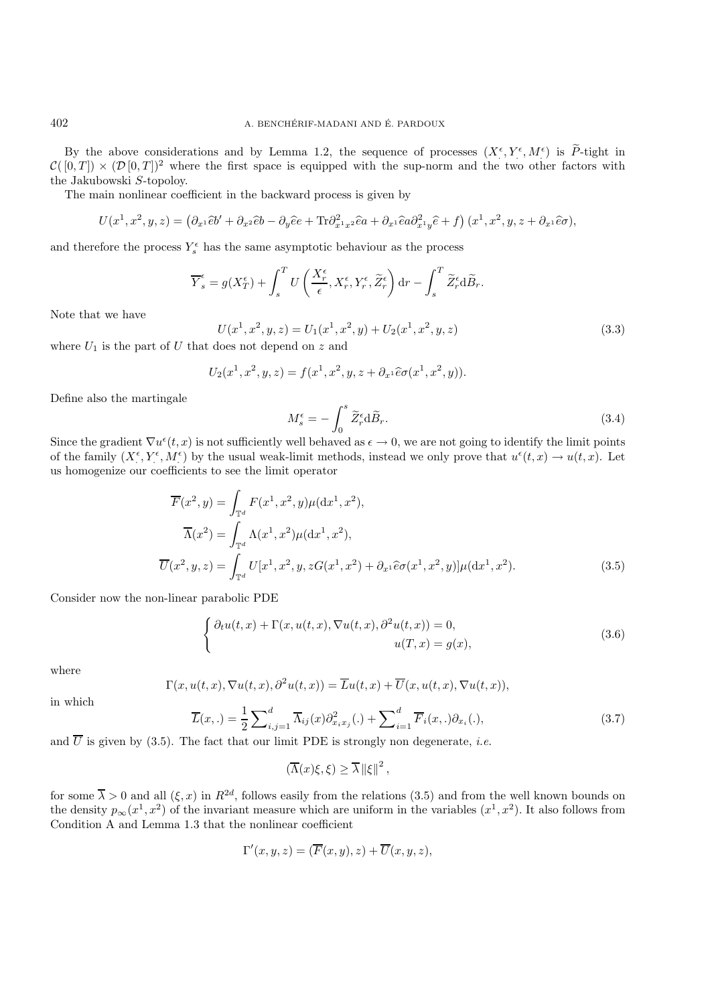By the above considerations and by Lemma 1.2, the sequence of processes  $(X^{\epsilon}, Y^{\epsilon}, M^{\epsilon})$  is  $\widetilde{P}$ -tight in  $\mathcal{C}([0,T]) \times (\mathcal{D}[0,T])^2$  where the first space is equipped with the sup-norm and the two other factors with the Jakubowski S-topoloy.

The main nonlinear coefficient in the backward process is given by

$$
U(x^1, x^2, y, z) = (\partial_{x^1}\hat{e}b' + \partial_{x^2}\hat{e}b - \partial_y\hat{e}e + \text{Tr}\partial_{x^1x^2}^2\hat{e}a + \partial_{x^1}\hat{e}a\partial_{x^1y}^2\hat{e} + f)(x^1, x^2, y, z + \partial_{x^1}\hat{e}\sigma),
$$

and therefore the process  $Y_s^{\epsilon}$  has the same asymptotic behaviour as the process

$$
\overline{Y}_s^\epsilon = g(X_T^\epsilon) + \int_s^T U\left(\frac{X_r^\epsilon}{\epsilon},X_r^\epsilon,Y_r^\epsilon,\widetilde{Z}_r^\epsilon\right) \mathrm{d} r - \int_s^T \widetilde{Z}_r^\epsilon \mathrm{d} \widetilde{B}_r.
$$

Note that we have

$$
U(x1, x2, y, z) = U1(x1, x2, y) + U2(x1, x2, y, z)
$$
 (3.3)  
where  $U1$  is the part of U that does not depend on z and

$$
U_2(x^1, x^2, y, z) = f(x^1, x^2, y, z + \partial_{x^1} \widehat{e} \sigma(x^1, x^2, y)).
$$

Define also the martingale

$$
M_s^{\epsilon} = -\int_0^s \widetilde{Z}_r^{\epsilon} d\widetilde{B}_r. \tag{3.4}
$$

Since the gradient  $\nabla u^{\epsilon}(t, x)$  is not sufficiently well behaved as  $\epsilon \to 0$ , we are not going to identify the limit points of the family  $(X^{\epsilon}, Y^{\epsilon}, M^{\epsilon})$  by the usual weak-limit methods, instead we only prove that  $u^{\epsilon}(t, x) \to u(t, x)$ . Let us homogenize our coefficients to see the limit operator

$$
\overline{F}(x^2, y) = \int_{\mathbb{T}^d} F(x^1, x^2, y) \mu(\mathrm{d}x^1, x^2),
$$
\n
$$
\overline{\Lambda}(x^2) = \int_{\mathbb{T}^d} \Lambda(x^1, x^2) \mu(\mathrm{d}x^1, x^2),
$$
\n
$$
\overline{U}(x^2, y, z) = \int_{\mathbb{T}^d} U[x^1, x^2, y, zG(x^1, x^2) + \partial_{x^1} \widehat{e}\sigma(x^1, x^2, y)] \mu(\mathrm{d}x^1, x^2).
$$
\n(3.5)

Consider now the non-linear parabolic PDE

$$
\begin{cases} \partial_t u(t,x) + \Gamma(x, u(t,x), \nabla u(t,x), \partial^2 u(t,x)) = 0, \\ u(T,x) = g(x), \end{cases}
$$
\n(3.6)

where

$$
\Gamma(x, u(t, x), \nabla u(t, x), \partial^2 u(t, x)) = \overline{L}u(t, x) + \overline{U}(x, u(t, x), \nabla u(t, x)),
$$

in which

$$
\overline{L}(x,.) = \frac{1}{2} \sum_{i,j=1}^{d} \overline{\Lambda}_{ij}(x) \partial_{x_i x_j}^2(.) + \sum_{i=1}^{d} \overline{F}_i(x,.) \partial_{x_i}(.),
$$
\n(3.7)

and  $\overline{U}$  is given by (3.5). The fact that our limit PDE is strongly non degenerate, *i.e.* 

$$
(\overline{\Lambda}(x)\xi,\xi) \ge \overline{\lambda} \left\| \xi \right\|^2,
$$

for some  $\overline{\lambda} > 0$  and all  $(\xi, x)$  in  $R^{2d}$ , follows easily from the relations (3.5) and from the well known bounds on the density  $p_{\infty}(x^1, x^2)$  of the invariant measure which are uniform in the variables  $(x^1, x^2)$ . It also follows from Condition A and Lemma 1.3 that the nonlinear coefficient

$$
\Gamma'(x, y, z) = (\overline{F}(x, y), z) + \overline{U}(x, y, z),
$$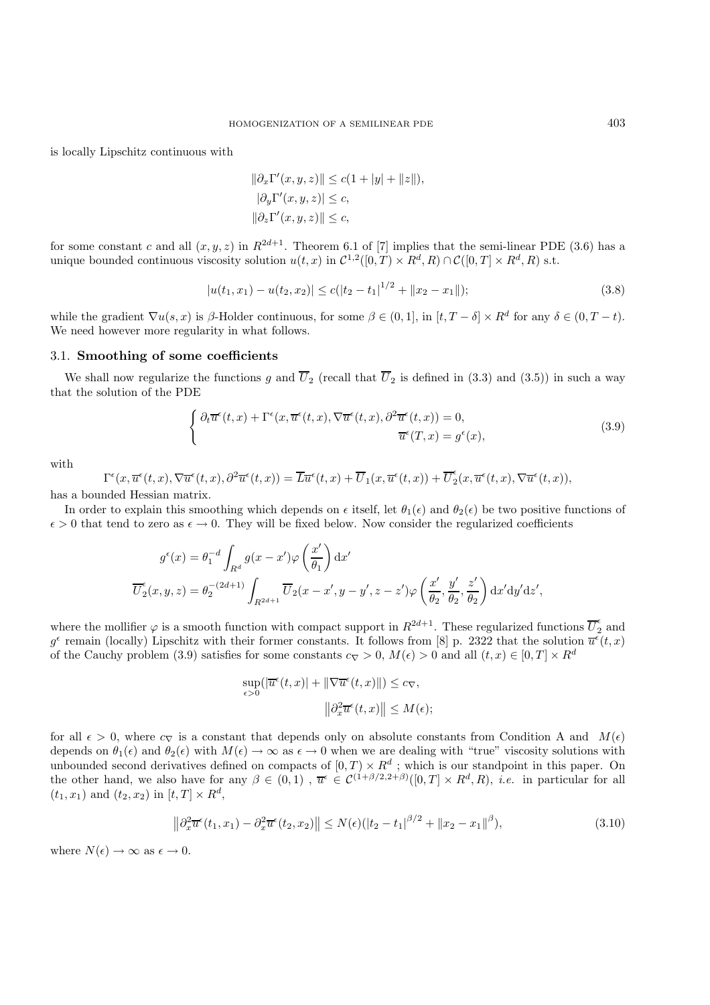is locally Lipschitz continuous with

$$
\|\partial_x \Gamma'(x, y, z)\| \le c(1 + |y| + \|z\|),
$$
  
\n
$$
|\partial_y \Gamma'(x, y, z)| \le c,
$$
  
\n
$$
\|\partial_z \Gamma'(x, y, z)\| \le c,
$$

for some constant c and all  $(x, y, z)$  in  $R^{2d+1}$ . Theorem 6.1 of [7] implies that the semi-linear PDE (3.6) has a unique bounded continuous viscosity solution  $u(t, x)$  in  $\mathcal{C}^{1,2}([0, T] \times R^d, R) \cap \mathcal{C}([0, T] \times R^d, R)$  s.t.

$$
|u(t_1, x_1) - u(t_2, x_2)| \le c(|t_2 - t_1|^{1/2} + ||x_2 - x_1||);
$$
\n(3.8)

while the gradient  $\nabla u(s, x)$  is  $\beta$ -Holder continuous, for some  $\beta \in (0, 1]$ , in  $[t, T - \delta] \times R^d$  for any  $\delta \in (0, T - t)$ . We need however more regularity in what follows.

## 3.1. **Smoothing of some coefficients**

We shall now regularize the functions g and  $\overline{U}_2$  (recall that  $\overline{U}_2$  is defined in (3.3) and (3.5)) in such a way that the solution of the PDE

$$
\begin{cases} \partial_t \overline{u}^{\epsilon}(t,x) + \Gamma^{\epsilon}(x, \overline{u}^{\epsilon}(t,x), \nabla \overline{u}^{\epsilon}(t,x), \partial^2 \overline{u}^{\epsilon}(t,x)) = 0, \\ \overline{u}^{\epsilon}(T,x) = g^{\epsilon}(x), \end{cases}
$$
(3.9)

with

$$
\Gamma^{\epsilon}(x,\overline{u}^{\epsilon}(t,x),\nabla\overline{u}^{\epsilon}(t,x),\partial^{2}\overline{u}^{\epsilon}(t,x))=\overline{L}\overline{u}^{\epsilon}(t,x)+\overline{U}_{1}(x,\overline{u}^{\epsilon}(t,x))+\overline{U}_{2}^{\epsilon}(x,\overline{u}^{\epsilon}(t,x),\nabla\overline{u}^{\epsilon}(t,x)),
$$

has a bounded Hessian matrix.

In order to explain this smoothing which depends on  $\epsilon$  itself, let  $\theta_1(\epsilon)$  and  $\theta_2(\epsilon)$  be two positive functions of  $\epsilon > 0$  that tend to zero as  $\epsilon \to 0$ . They will be fixed below. Now consider the regularized coefficients

$$
g^{\epsilon}(x) = \theta_1^{-d} \int_{R^d} g(x - x') \varphi\left(\frac{x'}{\theta_1}\right) dx'
$$

$$
\overline{U}_2^{\epsilon}(x, y, z) = \theta_2^{-(2d+1)} \int_{R^{2d+1}} \overline{U}_2(x - x', y - y', z - z') \varphi\left(\frac{x'}{\theta_2}, \frac{y'}{\theta_2}, \frac{z'}{\theta_2}\right) dx' dy' dz',
$$

where the mollifier  $\varphi$  is a smooth function with compact support in  $R^{2d+1}$ . These regularized functions  $\overline{U}_2^{\epsilon}$  and  $g^{\epsilon}$  remain (locally) Lipschitz with their former constants. It follows from [8] p. 2322 that the solution  $\overline{u}^{\epsilon}(t, x)$ of the Cauchy problem (3.9) satisfies for some constants  $c_{\nabla} > 0$ ,  $M(\epsilon) > 0$  and all  $(t, x) \in [0, T] \times R^d$ 

$$
\sup_{\epsilon>0}(|\overline{u}^{\epsilon}(t,x)|+ \|\nabla \overline{u}^{\epsilon}(t,x)\|) \leq c_{\nabla},
$$
  

$$
\left\|\partial_x^2 \overline{u}^{\epsilon}(t,x)\right\| \leq M(\epsilon);
$$

for all  $\epsilon > 0$ , where  $c_{\nabla}$  is a constant that depends only on absolute constants from Condition A and  $M(\epsilon)$ depends on  $\theta_1(\epsilon)$  and  $\theta_2(\epsilon)$  with  $M(\epsilon) \to \infty$  as  $\epsilon \to 0$  when we are dealing with "true" viscosity solutions with unbounded second derivatives defined on compacts of  $[0, T) \times R^d$ ; which is our standpoint in this paper. On the other hand, we also have for any  $\beta \in (0,1)$ ,  $\overline{u}^{\epsilon} \in C^{(1+\beta/2,2+\beta)}([0,T] \times R^d, R)$ , *i.e.* in particular for all  $(t_1, x_1)$  and  $(t_2, x_2)$  in  $[t, T] \times R^d$ ,

$$
\left\|\partial_x^2 \overline{u}^{\epsilon}(t_1, x_1) - \partial_x^2 \overline{u}^{\epsilon}(t_2, x_2)\right\| \le N(\epsilon)(|t_2 - t_1|^{\beta/2} + \|x_2 - x_1\|^{\beta}),\tag{3.10}
$$

where  $N(\epsilon) \to \infty$  as  $\epsilon \to 0$ .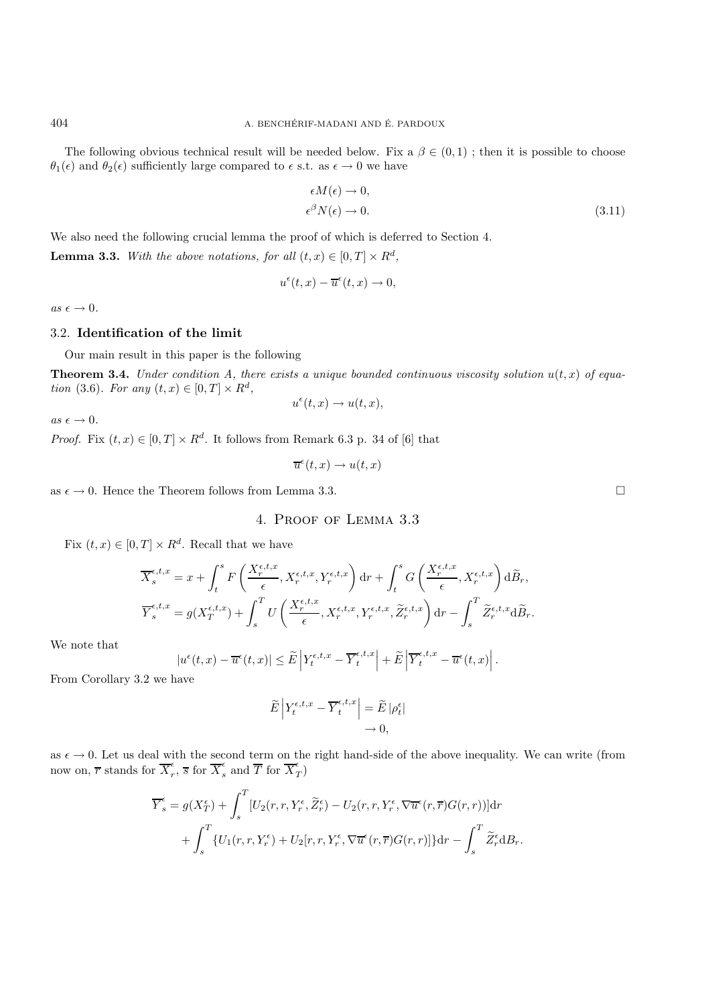The following obvious technical result will be needed below. Fix a  $\beta \in (0,1)$ ; then it is possible to choose  $\theta_1(\epsilon)$  and  $\theta_2(\epsilon)$  sufficiently large compared to  $\epsilon$  s.t. as  $\epsilon \to 0$  we have

$$
\epsilon M(\epsilon) \to 0,
$$
  
\n
$$
\epsilon^{\beta} N(\epsilon) \to 0.
$$
\n(3.11)

We also need the following crucial lemma the proof of which is deferred to Section 4.

**Lemma 3.3.** *With the above notations, for all*  $(t, x) \in [0, T] \times R^d$ ,

$$
u^{\epsilon}(t,x) - \overline{u}^{\epsilon}(t,x) \to 0,
$$

 $as \epsilon \rightarrow 0.$ 

## 3.2. **Identification of the limit**

Our main result in this paper is the following

**Theorem 3.4.** *Under condition A, there exists a unique bounded continuous viscosity solution*  $u(t, x)$  *of equation* (3.6)*. For any*  $(t, x) \in [0, T] \times R^d$ ,  $u^{\epsilon}(t,x) \rightarrow u(t,x),$ 

 $as \epsilon \rightarrow 0.$ 

*Proof.* Fix  $(t, x) \in [0, T] \times R^d$ . It follows from Remark 6.3 p. 34 of [6] that

$$
\overline{u}^{\epsilon}(t,x) \to u(t,x)
$$

as  $\epsilon \to 0$ . Hence the Theorem follows from Lemma 3.3.

# 4. Proof of Lemma 3.3

Fix  $(t, x) \in [0, T] \times R^d$ . Recall that we have

$$
\overline{X}_{s}^{\epsilon,t,x} = x + \int_{t}^{s} F\left(\frac{X_{r}^{\epsilon,t,x}}{\epsilon}, X_{r}^{\epsilon,t,x}, Y_{r}^{\epsilon,t,x}\right) dr + \int_{t}^{s} G\left(\frac{X_{r}^{\epsilon,t,x}}{\epsilon}, X_{r}^{\epsilon,t,x}\right) d\widetilde{B}_{r},
$$
\n
$$
\overline{Y}_{s}^{\epsilon,t,x} = g(X_{T}^{\epsilon,t,x}) + \int_{s}^{T} U\left(\frac{X_{r}^{\epsilon,t,x}}{\epsilon}, X_{r}^{\epsilon,t,x}, Y_{r}^{\epsilon,t,x}, \widetilde{Z}_{r}^{\epsilon,t,x}\right) dr - \int_{s}^{T} \widetilde{Z}_{r}^{\epsilon,t,x} d\widetilde{B}_{r}.
$$

We note that

$$
|u^{\epsilon}(t,x)-\overline{u}^{\epsilon}(t,x)|\leq \widetilde{E}\left|Y^{\epsilon,t,x}_t-\overline{Y}^{\epsilon,t,x}_t\right|+\widetilde{E}\left|\overline{Y}^{\epsilon,t,x}_t-\overline{u}^{\epsilon}(t,x)\right|.
$$

From Corollary 3.2 we have

$$
\widetilde{E}\left|Y_t^{\epsilon,t,x}-\overline{Y}_t^{\epsilon,t,x}\right|=\widetilde{E}\left|\rho_t^{\epsilon}\right|\\ \rightarrow 0,
$$

as  $\epsilon \to 0$ . Let us deal with the second term on the right hand-side of the above inequality. We can write (from now on,  $\overline{r}$  stands for  $\overline{X}_r^{\epsilon}$ ,  $\overline{s}$  for  $\overline{X}_s^{\epsilon}$  and  $\overline{T}$  for  $\overline{X}_T^{\epsilon}$ 

$$
\overline{Y}_s^\epsilon = g(X_T^\epsilon) + \int_s^T \left[ U_2(r, r, Y_r^\epsilon, \widetilde{Z}_r^\epsilon) - U_2(r, r, Y_r^\epsilon, \nabla \overline{u}^\epsilon(r, \overline{r}) G(r, r)) \right] dr \n+ \int_s^T \left\{ U_1(r, r, Y_r^\epsilon) + U_2[r, r, Y_r^\epsilon, \nabla \overline{u}^\epsilon(r, \overline{r}) G(r, r)) \right\} dr - \int_s^T \widetilde{Z}_r^\epsilon dB_r.
$$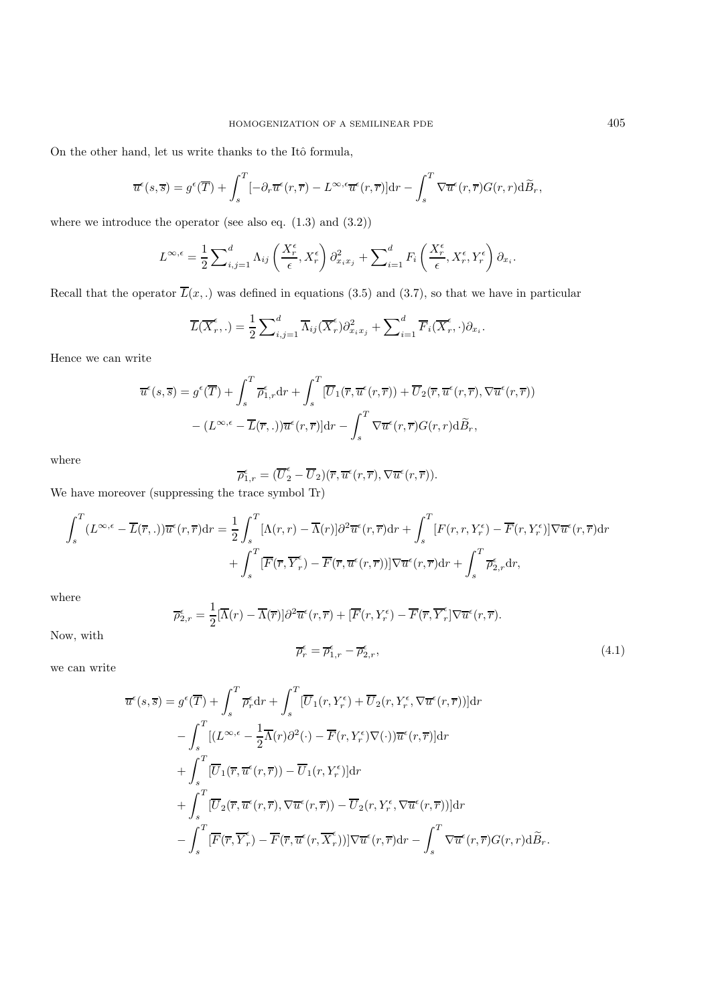On the other hand, let us write thanks to the Itô formula,

$$
\overline{u}^{\epsilon}(s,\overline{s}) = g^{\epsilon}(\overline{T}) + \int_{s}^{T} [-\partial_{r}\overline{u}^{\epsilon}(r,\overline{r}) - L^{\infty,\epsilon}\overline{u}^{\epsilon}(r,\overline{r})]dr - \int_{s}^{T} \nabla \overline{u}^{\epsilon}(r,\overline{r})G(r,r)d\widetilde{B}_{r},
$$

where we introduce the operator (see also eq.  $(1.3)$  and  $(3.2)$ )

$$
L^{\infty,\epsilon} = \frac{1}{2} \sum\nolimits_{i,j=1}^d \Lambda_{ij} \left( \frac{X_r^{\epsilon}}{\epsilon}, X_r^{\epsilon} \right) \partial^2_{x_i x_j} + \sum\nolimits_{i=1}^d F_i \left( \frac{X_r^{\epsilon}}{\epsilon}, X_r^{\epsilon}, Y_r^{\epsilon} \right) \partial_{x_i}.
$$

Recall that the operator  $\overline{L}(x,.)$  was defined in equations (3.5) and (3.7), so that we have in particular

$$
\overline{L}(\overline{X}_r^{\epsilon},.) = \frac{1}{2} \sum_{i,j=1}^d \overline{\Lambda}_{ij}(\overline{X}_r^{\epsilon}) \partial_{x_i x_j}^2 + \sum_{i=1}^d \overline{F}_i(\overline{X}_r^{\epsilon},.) \partial_{x_i}.
$$

Hence we can write

$$
\overline{u}^{\epsilon}(s,\overline{s}) = g^{\epsilon}(\overline{T}) + \int_{s}^{T} \overline{\rho}_{1,r}^{\epsilon} dr + \int_{s}^{T} [\overline{U}_{1}(\overline{r}, \overline{u}^{\epsilon}(r,\overline{r})) + \overline{U}_{2}(\overline{r}, \overline{u}^{\epsilon}(r,\overline{r}), \nabla \overline{u}^{\epsilon}(r,\overline{r}))
$$

$$
- (L^{\infty,\epsilon} - \overline{L}(\overline{r},.)\overline{u}^{\epsilon}(r,\overline{r})] dr - \int_{s}^{T} \nabla \overline{u}^{\epsilon}(r,\overline{r}) G(r,r) d\widetilde{B}_{r},
$$

where

$$
\overline{\rho}_{1,r}^{\epsilon} = (\overline{U}_2^{\epsilon} - \overline{U}_2)(\overline{r}, \overline{u}^{\epsilon}(r, \overline{r}), \nabla \overline{u}^{\epsilon}(r, \overline{r})).
$$

We have moreover (suppressing the trace symbol Tr)

$$
\int_{s}^{T} (L^{\infty,\epsilon} - \overline{L}(\overline{r},.)\overline{u}^{\epsilon}(r,\overline{r})dr = \frac{1}{2} \int_{s}^{T} [\Lambda(r,r) - \overline{\Lambda}(r)]\partial^{2}\overline{u}^{\epsilon}(r,\overline{r})dr + \int_{s}^{T} [F(r,r,Y_{r}^{\epsilon}) - \overline{F}(r,Y_{r}^{\epsilon})]\nabla\overline{u}^{\epsilon}(r,\overline{r})dr + \int_{s}^{T} [\overline{F}(\overline{r},\overline{Y}_{r}^{\epsilon}) - \overline{F}(\overline{r},\overline{u}^{\epsilon}(r,\overline{r}))]\nabla\overline{u}^{\epsilon}(r,\overline{r})dr + \int_{s}^{T} \overline{\rho}_{2,r}^{\epsilon} dr,
$$

where

$$
\overline{\rho}_{2,r}^{\epsilon} = \frac{1}{2} [\overline{\Lambda}(r) - \overline{\Lambda}(\overline{r})] \partial^2 \overline{u}^{\epsilon}(r,\overline{r}) + [\overline{F}(r,Y_r^{\epsilon}) - \overline{F}(\overline{r},\overline{Y}_r^{\epsilon}] \nabla \overline{u}^{\epsilon}(r,\overline{r}).
$$
\n
$$
\overline{\rho}_r^{\epsilon} = \overline{\rho}_{1,r}^{\epsilon} - \overline{\rho}_{2,r}^{\epsilon},
$$
\n(4.1)

we can write

Now, with

$$
\overline{u}^{\epsilon}(s,\overline{s}) = g^{\epsilon}(\overline{T}) + \int_{s}^{T} \overline{\rho}_{r}^{\epsilon} dr + \int_{s}^{T} [\overline{U}_{1}(r,Y_{r}^{\epsilon}) + \overline{U}_{2}(r,Y_{r}^{\epsilon},\nabla \overline{u}^{\epsilon}(r,\overline{r}))] dr \n- \int_{s}^{T} [(L^{\infty,\epsilon} - \frac{1}{2}\overline{\Lambda}(r)\partial^{2}(\cdot) - \overline{F}(r,Y_{r}^{\epsilon})\nabla(\cdot))\overline{u}^{\epsilon}(r,\overline{r})] dr \n+ \int_{s}^{T} [\overline{U}_{1}(\overline{r},\overline{u}^{\epsilon}(r,\overline{r})) - \overline{U}_{1}(r,Y_{r}^{\epsilon})] dr \n+ \int_{s}^{T} [\overline{U}_{2}(\overline{r},\overline{u}^{\epsilon}(r,\overline{r}),\nabla \overline{u}^{\epsilon}(r,\overline{r})) - \overline{U}_{2}(r,Y_{r}^{\epsilon},\nabla \overline{u}^{\epsilon}(r,\overline{r}))] dr \n- \int_{s}^{T} [\overline{F}(\overline{r},\overline{Y}_{r}^{\epsilon}) - \overline{F}(\overline{r},\overline{u}^{\epsilon}(r,\overline{X}_{r}^{\epsilon}))] \nabla \overline{u}^{\epsilon}(r,\overline{r}) dr - \int_{s}^{T} \nabla \overline{u}^{\epsilon}(r,\overline{r}) G(r,r) d\widetilde{B}_{r}.
$$

 $(4.1)$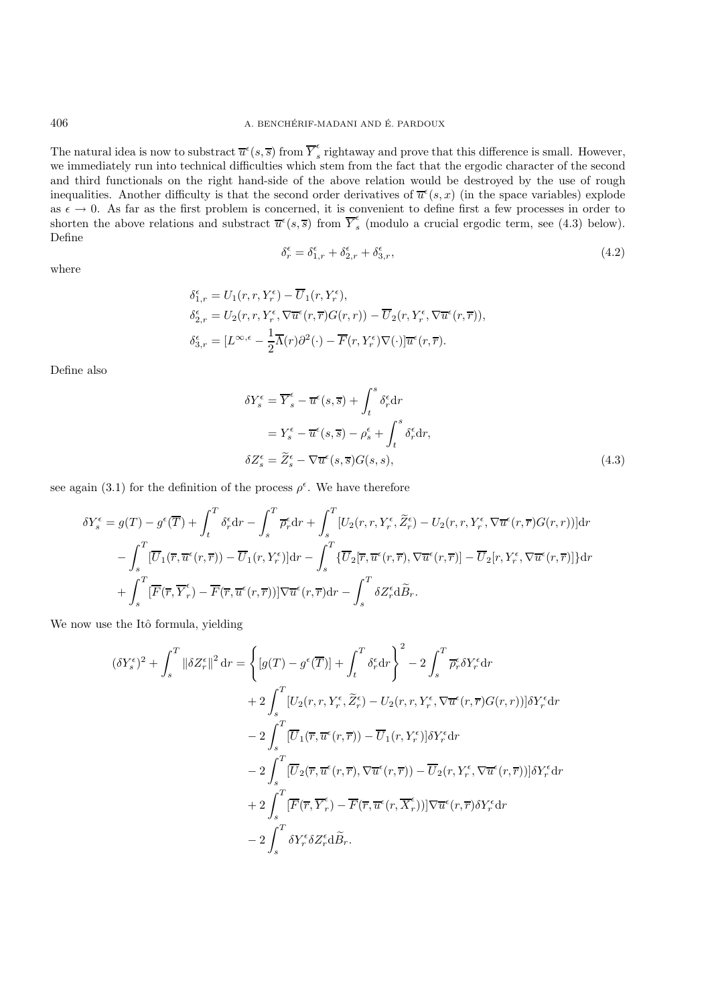The natural idea is now to substract  $\overline{u}^{\epsilon}(s,\overline{s})$  from  $\overline{Y}_s^{\epsilon}$  rightaway and prove that this difference is small. However, we immediately run into technical difficulties which stem from the fact that the ergodic character of the second and third functionals on the right hand-side of the above relation would be destroyed by the use of rough inequalities. Another difficulty is that the second order derivatives of  $\overline{u}^{\epsilon}(s,x)$  (in the space variables) explode as  $\epsilon \to 0$ . As far as the first problem is concerned, it is convenient to define first a few processes in order to shorten the above relations and substract  $\overline{u}^{\epsilon}(s,\overline{s})$  from  $\overline{Y}_{s}^{\epsilon}$  (modulo a crucial ergodic term, see (4.3) below). Define

$$
\delta_r^{\epsilon} = \delta_{1,r}^{\epsilon} + \delta_{2,r}^{\epsilon} + \delta_{3,r}^{\epsilon},\tag{4.2}
$$

where

$$
\delta_{1,r}^{\epsilon} = U_1(r, r, Y_r^{\epsilon}) - \overline{U}_1(r, Y_r^{\epsilon}),
$$
  
\n
$$
\delta_{2,r}^{\epsilon} = U_2(r, r, Y_r^{\epsilon}, \nabla \overline{u}^{\epsilon}(r, \overline{r}) G(r, r)) - \overline{U}_2(r, Y_r^{\epsilon}, \nabla \overline{u}^{\epsilon}(r, \overline{r})),
$$
  
\n
$$
\delta_{3,r}^{\epsilon} = [L^{\infty,\epsilon} - \frac{1}{2} \overline{\Lambda}(r) \partial^2(\cdot) - \overline{F}(r, Y_r^{\epsilon}) \nabla(\cdot)] \overline{u}^{\epsilon}(r, \overline{r}).
$$

Define also

$$
\delta Y_s^{\epsilon} = \overline{Y}_s^{\epsilon} - \overline{u}^{\epsilon}(s, \overline{s}) + \int_t^s \delta_r^{\epsilon} dr
$$
  

$$
= Y_s^{\epsilon} - \overline{u}^{\epsilon}(s, \overline{s}) - \rho_s^{\epsilon} + \int_t^s \delta_r^{\epsilon} dr,
$$
  

$$
\delta Z_s^{\epsilon} = \widetilde{Z}_s^{\epsilon} - \nabla \overline{u}^{\epsilon}(s, \overline{s}) G(s, s),
$$
 (4.3)

see again (3.1) for the definition of the process  $\rho^{\epsilon}$ . We have therefore

$$
\delta Y_s^{\epsilon} = g(T) - g^{\epsilon}(\overline{T}) + \int_t^T \delta_r^{\epsilon} dr - \int_s^T \overline{\rho}_r^{\epsilon} dr + \int_s^T [U_2(r, r, Y_r^{\epsilon}, \widetilde{Z}_r^{\epsilon}) - U_2(r, r, Y_r^{\epsilon}, \nabla \overline{u}^{\epsilon}(r, \overline{r}) G(r, r))] dr - \int_s^T [\overline{U}_1(\overline{r}, \overline{u}^{\epsilon}(r, \overline{r})) - \overline{U}_1(r, Y_r^{\epsilon})] dr - \int_s^T \{\overline{U}_2[\overline{r}, \overline{u}^{\epsilon}(r, \overline{r}), \nabla \overline{u}^{\epsilon}(r, \overline{r})] - \overline{U}_2[r, Y_r^{\epsilon}, \nabla \overline{u}^{\epsilon}(r, \overline{r})]\} dr + \int_s^T [\overline{F}(\overline{r}, \overline{Y}_r^{\epsilon}) - \overline{F}(\overline{r}, \overline{u}^{\epsilon}(r, \overline{r}))] \nabla \overline{u}^{\epsilon}(r, \overline{r}) dr - \int_s^T \delta Z_r^{\epsilon} d\widetilde{B}_r.
$$

We now use the Itô formula, yielding

$$
(\delta Y_s^{\epsilon})^2 + \int_s^T \left\| \delta Z_r^{\epsilon} \right\|^2 dr = \left\{ \left[ g(T) - g^{\epsilon}(\overline{T}) \right] + \int_t^T \delta_r^{\epsilon} dr \right\}^2 - 2 \int_s^T \overline{\rho}_r^{\epsilon} \delta Y_r^{\epsilon} dr + 2 \int_s^T \left[ U_2(r, r, Y_r^{\epsilon}, \overline{Z_r^{\epsilon}}) - U_2(r, r, Y_r^{\epsilon}, \nabla \overline{u}^{\epsilon}(r, \overline{r}) G(r, r)) \right] \delta Y_r^{\epsilon} dr - 2 \int_s^T \left[ \overline{U}_1(\overline{r}, \overline{u}^{\epsilon}(r, \overline{r})) - \overline{U}_1(r, Y_r^{\epsilon}) \right] \delta Y_r^{\epsilon} dr - 2 \int_s^T \left[ \overline{U}_2(\overline{r}, \overline{u}^{\epsilon}(r, \overline{r}), \nabla \overline{u}^{\epsilon}(r, \overline{r})) - \overline{U}_2(r, Y_r^{\epsilon}, \nabla \overline{u}^{\epsilon}(r, \overline{r})) \right] \delta Y_r^{\epsilon} dr + 2 \int_s^T \left[ \overline{F}(\overline{r}, \overline{Y}_r^{\epsilon}) - \overline{F}(\overline{r}, \overline{u}^{\epsilon}(r, \overline{X}_r^{\epsilon})) \right] \nabla \overline{u}^{\epsilon}(r, \overline{r}) \delta Y_r^{\epsilon} dr - 2 \int_s^T \delta Y_r^{\epsilon} \delta Z_r^{\epsilon} d\widetilde{B}_r.
$$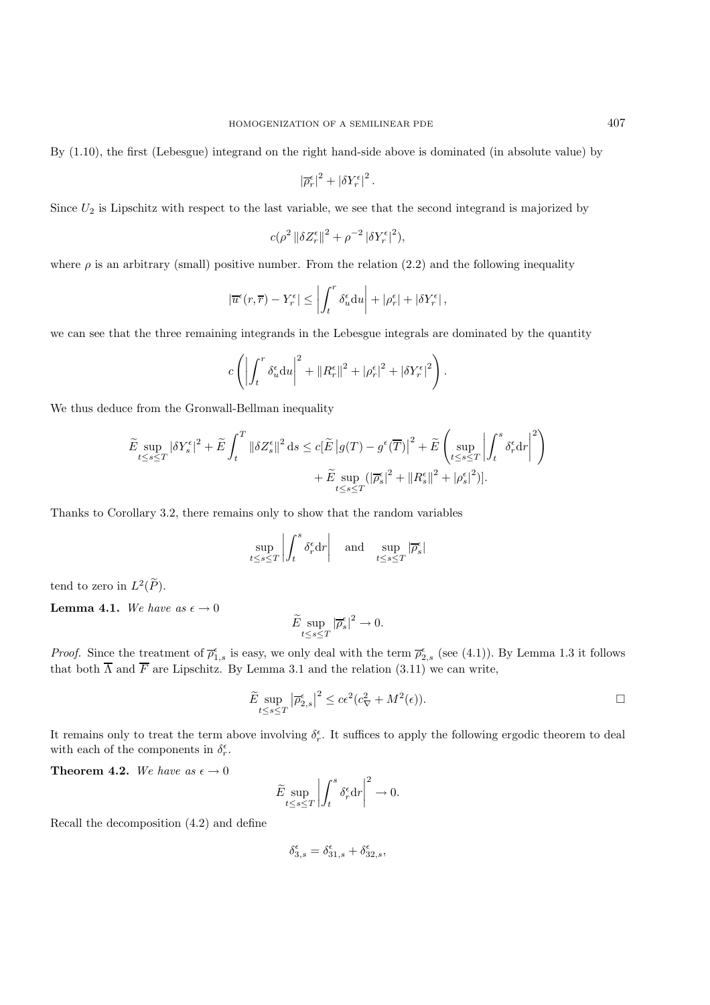By (1.10), the first (Lebesgue) integrand on the right hand-side above is dominated (in absolute value) by

$$
\left|\overline{\rho}^{\epsilon}_r\right|^2+\left|\delta Y^{\epsilon}_r\right|^2.
$$

Since  $U_2$  is Lipschitz with respect to the last variable, we see that the second integrand is majorized by

$$
c(\rho^2 \left\| \delta Z_r^{\epsilon} \right\|^2 + \rho^{-2} \left| \delta Y_r^{\epsilon} \right|^2),
$$

where  $\rho$  is an arbitrary (small) positive number. From the relation (2.2) and the following inequality

$$
\left|\overline{u}^{\epsilon}(r,\overline{r}) - Y^{\epsilon}_r\right| \le \left| \int_t^r \delta_u^{\epsilon} \mathrm{d}u \right| + \left| \rho_r^{\epsilon} \right| + \left| \delta Y^{\epsilon}_r \right|,
$$

we can see that the three remaining integrands in the Lebesgue integrals are dominated by the quantity

$$
c\left(\left|\int_t^r \delta_u^{\epsilon} \mathrm{d}u\right|^2 + \left\|R_r^{\epsilon}\right\|^2 + |\rho_r^{\epsilon}|^2 + |\delta Y_r^{\epsilon}|^2\right).
$$

We thus deduce from the Gronwall-Bellman inequality

$$
\begin{split} \widetilde{E}\sup_{t\leq s\leq T} \left|\delta Y^\epsilon_s\right|^2 + \widetilde{E}\int_t^T \left\|\delta Z^\epsilon_s\right\|^2 \mathrm{d}s \leq c [\widetilde{E}\left|g(T)-g^\epsilon(\overline{T})\right|^2 + \widetilde{E}\left(\sup_{t\leq s\leq T} \left\lvert \int_t^s \delta^\epsilon_r \mathrm{d}r \right\rvert^2\right) \\ & \quad + \widetilde{E}\sup_{t\leq s\leq T} (\left\lvert \overline{\rho}^\epsilon_s\right\rvert^2 + \left\lVert R^\epsilon_s\right\rVert^2 + \left\lvert \rho^\epsilon_s\right\rvert^2)]. \end{split}
$$

Thanks to Corollary 3.2, there remains only to show that the random variables

$$
\sup_{t \le s \le T} \left| \int_t^s \delta_r^\epsilon \mathrm{d} r \right| \quad \text{and} \quad \sup_{t \le s \le T} |\overline{\rho}_s^\epsilon|
$$

tend to zero in  $L^2(\widetilde{P})$ .

**Lemma 4.1.** We have as  $\epsilon \to 0$ 

$$
\widetilde{E} \sup_{t \le s \le T} |\overline{\rho}_s^{\epsilon}|^2 \to 0.
$$

*Proof.* Since the treatment of  $\overline{\rho}_{1,s}^{\epsilon}$  is easy, we only deal with the term  $\overline{\rho}_{2,s}^{\epsilon}$  (see (4.1)). By Lemma 1.3 it follows that both  $\overline{\Lambda}$  and  $\overline{F}$  are Lipschitz. By Lemma 3.1 and the relation (3.11) we can write,

$$
\widetilde{E} \sup_{t \le s \le T} |\overline{\rho}_{2,s}^{\epsilon}|^2 \le c\epsilon^2 (c_{\nabla}^2 + M^2(\epsilon)).
$$

It remains only to treat the term above involving  $\delta_r^{\epsilon}$ . It suffices to apply the following ergodic theorem to deal with each of the components in  $\delta_r^{\epsilon}$ .

**Theorem 4.2.** We have as  $\epsilon \to 0$ 

$$
\widetilde{E} \sup_{t \le s \le T} \left| \int_t^s \delta_r^\epsilon \mathrm{d} r \right|^2 \to 0.
$$

Recall the decomposition (4.2) and define

$$
\delta_{3,s}^{\epsilon} = \delta_{31,s}^{\epsilon} + \delta_{32,s}^{\epsilon},
$$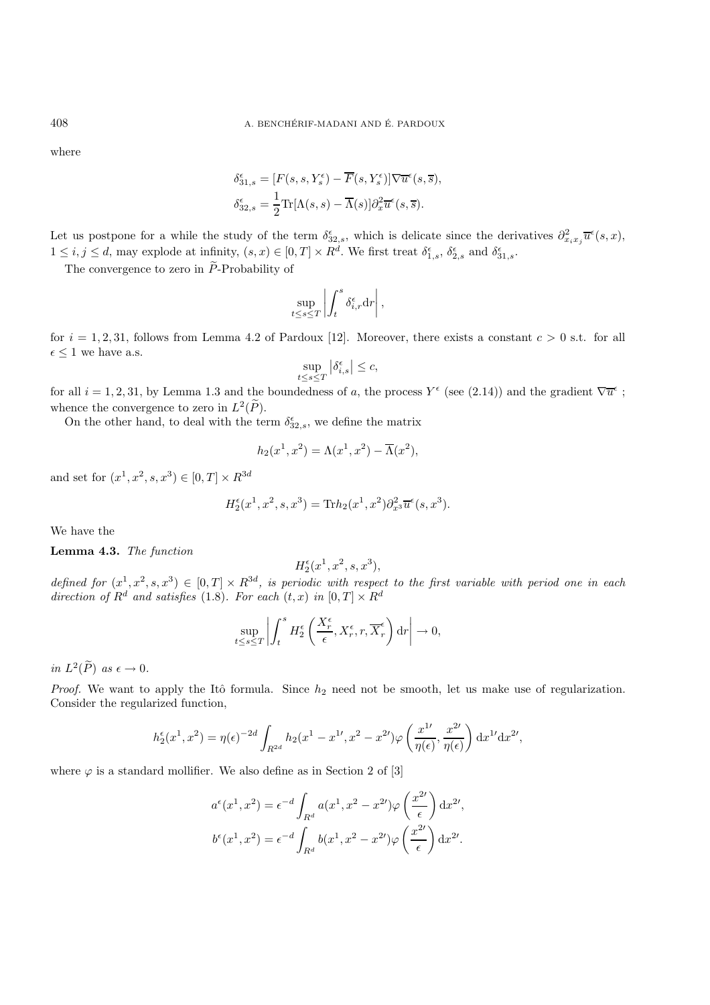where

$$
\begin{aligned} \delta_{31,s}^{\epsilon} &= [F(s,s,Y_s^{\epsilon}) - \overline{F}(s,Y_s^{\epsilon})] \nabla \overline{u}^{\epsilon}(s,\overline{s}), \\ \delta_{32,s}^{\epsilon} &= \frac{1}{2} \text{Tr}[\Lambda(s,s) - \overline{\Lambda}(s)] \partial_x^2 \overline{u}^{\epsilon}(s,\overline{s}). \end{aligned}
$$

Let us postpone for a while the study of the term  $\delta_{32,s}^{\epsilon}$ , which is delicate since the derivatives  $\partial_{x_ix_j}^2\overline{u}^{\epsilon}(s,x)$ ,  $1 \leq i, j \leq d$ , may explode at infinity,  $(s, x) \in [0, T] \times R^d$ . We first treat  $\delta_{1,s}^{\epsilon}$ ,  $\delta_{2,s}^{\epsilon}$  and  $\delta_{31,s}^{\epsilon}$ .

The convergence to zero in  $\widetilde{P}$ -Probability of

$$
\sup_{t \le s \le T} \left| \int_t^s \delta_{i,r}^\epsilon \mathrm{d} r \right|,
$$

for  $i = 1, 2, 31$ , follows from Lemma 4.2 of Pardoux [12]. Moreover, there exists a constant  $c > 0$  s.t. for all  $\epsilon \leq 1$  we have a.s.

$$
\sup_{t\leq s\leq T}\left|\delta_{i,s}^\epsilon\right|\leq c,
$$

for all  $i = 1, 2, 31$ , by Lemma 1.3 and the boundedness of a, the process  $Y^{\epsilon}$  (see (2.14)) and the gradient  $\nabla \overline{u}^{\epsilon}$ ; whence the convergence to zero in  $L^2(\tilde{P})$ .

On the other hand, to deal with the term  $\delta_{32,s}^{\epsilon}$ , we define the matrix

$$
h_2(x^1, x^2) = \Lambda(x^1, x^2) - \overline{\Lambda}(x^2),
$$

and set for  $(x^1, x^2, s, x^3) \in [0, T] \times R^{3d}$ 

$$
H_2^{\epsilon}(x^1, x^2, s, x^3) = \text{Tr} h_2(x^1, x^2) \partial_{x^3}^2 \overline{u}^{\epsilon}(s, x^3).
$$

We have the

**Lemma 4.3.** *The function*

$$
H_2^{\epsilon}(x^1, x^2, s, x^3),
$$

*defined for*  $(x^1, x^2, s, x^3) \in [0, T] \times R^{3d}$ , is periodic with respect to the first variable with period one in each direction of  $R^d$  and satisfies (1.8). For each  $(t, x)$  in  $[0, T] \times R^d$ 

$$
\sup_{t \le s \le T} \left| \int_t^s H_2^{\epsilon} \left( \frac{X_r^{\epsilon}}{\epsilon}, X_r^{\epsilon}, r, \overline{X}_r^{\epsilon} \right) dr \right| \to 0,
$$

*in*  $L^2(\widetilde{P})$  *as*  $\epsilon \to 0$ .

*Proof.* We want to apply the Itô formula. Since  $h_2$  need not be smooth, let us make use of regularization. Consider the regularized function,

$$
h_2^{\epsilon}(x^1, x^2) = \eta(\epsilon)^{-2d} \int_{R^{2d}} h_2(x^1 - x^{1\prime}, x^2 - x^{2\prime}) \varphi\left(\frac{x^{1\prime}}{\eta(\epsilon)}, \frac{x^{2\prime}}{\eta(\epsilon)}\right) dx^{1\prime} dx^{2\prime},
$$

where  $\varphi$  is a standard mollifier. We also define as in Section 2 of [3]

$$
a^{\epsilon}(x^1, x^2) = \epsilon^{-d} \int_{R^d} a(x^1, x^2 - x^{2\prime}) \varphi\left(\frac{x^{2\prime}}{\epsilon}\right) dx^{2\prime},
$$
  

$$
b^{\epsilon}(x^1, x^2) = \epsilon^{-d} \int_{R^d} b(x^1, x^2 - x^{2\prime}) \varphi\left(\frac{x^{2\prime}}{\epsilon}\right) dx^{2\prime}.
$$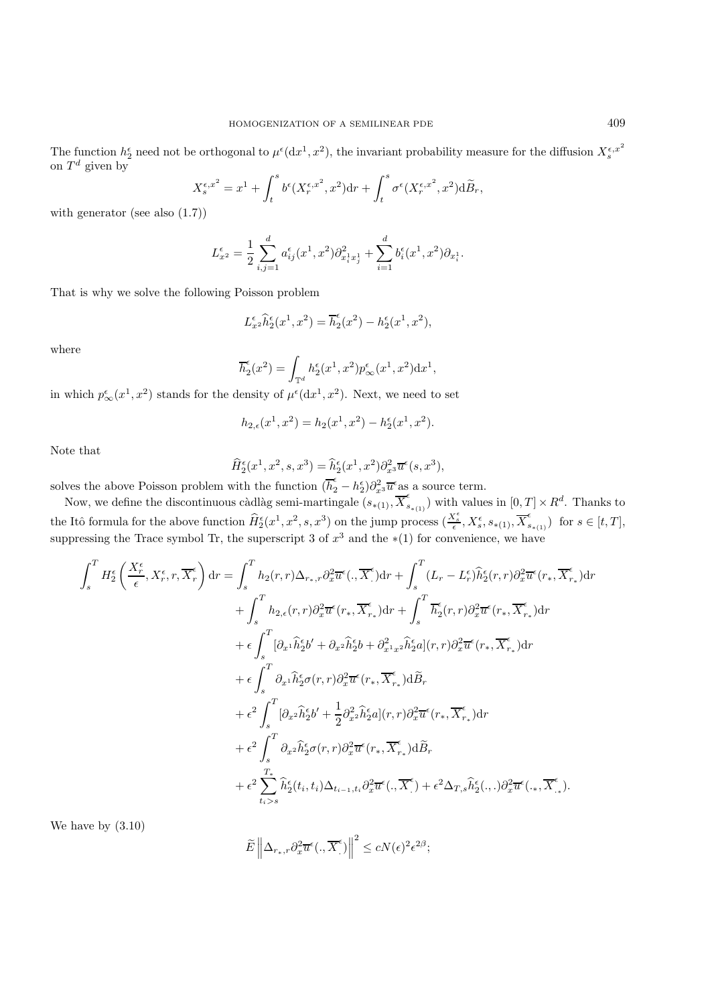The function  $h_2^{\epsilon}$  need not be orthogonal to  $\mu^{\epsilon}(dx^1, x^2)$ , the invariant probability measure for the diffusion  $X_s^{\epsilon, x^2}$ on  $T^d$  given by

$$
X^{\epsilon,x^2}_s = x^1 + \int_t^s b^{\epsilon}(X^{\epsilon,x^2}_r,x^2) \mathrm{d} r + \int_t^s \sigma^{\epsilon}(X^{\epsilon,x^2}_r,x^2) \mathrm{d} \widetilde{B}_r,
$$

with generator (see also (1.7))

$$
L_{x^2}^{\epsilon} = \frac{1}{2} \sum_{i,j=1}^d a_{ij}^{\epsilon}(x^1, x^2) \partial_{x_i^1 x_j^1}^2 + \sum_{i=1}^d b_i^{\epsilon}(x^1, x^2) \partial_{x_i^1}.
$$

That is why we solve the following Poisson problem

$$
L_{x^2}^{\epsilon} \hat{h}_2^{\epsilon}(x^1, x^2) = \overline{h}_2^{\epsilon}(x^2) - h_2^{\epsilon}(x^1, x^2),
$$

where

$$
\overline{h}_2^{\epsilon}(x^2) = \int_{\mathbb{T}^d} h_2^{\epsilon}(x^1, x^2) p_{\infty}^{\epsilon}(x^1, x^2) dx^1,
$$

in which  $p_{\infty}^{\epsilon}(x^1, x^2)$  stands for the density of  $\mu^{\epsilon}(\mathrm{d}x^1, x^2)$ . Next, we need to set

$$
h_{2,\epsilon}(x^1, x^2) = h_2(x^1, x^2) - h_2^{\epsilon}(x^1, x^2).
$$

Note that

$$
\widehat{H}^{\epsilon}_2(x^1, x^2, s, x^3) = \widehat{h}^{\epsilon}_2(x^1, x^2) \partial_{x^3}^2 \overline{u}^{\epsilon}(s, x^3),
$$

solves the above Poisson problem with the function  $(\overline{h}_2^{\epsilon} - h_2^{\epsilon}) \partial_{x^3}^2 \overline{u}^{\epsilon}$  as a source term.

Now, we define the discontinuous càdlàg semi-martingale  $(s_{*(1)}, \overline{X}_{s_{*(1)}}^{\epsilon})$  with values in  $[0, T] \times R^d$ . Thanks to the Itô formula for the above function  $\widehat{H}_{2}^{\epsilon}(x^{1}, x^{2}, s, x^{3})$  on the jump process  $(\frac{X_{\epsilon}^{\epsilon}}{\epsilon}, X_{s}^{\epsilon}, s_{*(1)}, \overline{X}_{s_{*(1)}}^{\epsilon})$  for  $s \in [t, T]$ , suppressing the Trace symbol Tr, the superscript 3 of  $x^3$  and the  $*(1)$  for convenience, we have

$$
\int_{s}^{T} H_{2}^{\epsilon} \left( \frac{X_{r}^{\epsilon}}{\epsilon}, X_{r}^{\epsilon}, r, \overline{X}_{r}^{\epsilon} \right) dr = \int_{s}^{T} h_{2}(r, r) \Delta_{r_{*}, r} \partial_{x}^{2} \overline{u}^{\epsilon} (., \overline{X}_{r}^{\epsilon}) dr + \int_{s}^{T} (L_{r} - L_{r}^{\epsilon}) \widehat{h}_{2}^{\epsilon}(r, r) \partial_{x}^{2} \overline{u}^{\epsilon}(r_{*}, \overline{X}_{r_{*}}^{\epsilon}) dr \n+ \int_{s}^{T} h_{2,\epsilon}(r, r) \partial_{x}^{2} \overline{u}^{\epsilon}(r_{*}, \overline{X}_{r_{*}}^{\epsilon}) dr + \int_{s}^{T} \overline{h}_{2}^{\epsilon}(r, r) \partial_{x}^{2} \overline{u}^{\epsilon}(r_{*}, \overline{X}_{r_{*}}^{\epsilon}) dr \n+ \epsilon \int_{s}^{T} [\partial_{x} \cdot \widehat{h}_{2}^{\epsilon} b' + \partial_{x} \cdot \widehat{h}_{2}^{\epsilon} b + \partial_{x}^{2} \cdot \cdot \cdot \cdot \widehat{h}_{2}^{\epsilon} a](r, r) \partial_{x}^{2} \overline{u}^{\epsilon}(r_{*}, \overline{X}_{r_{*}}^{\epsilon}) dr \n+ \epsilon \int_{s}^{T} \partial_{x} \cdot \widehat{h}_{2}^{\epsilon} \sigma(r, r) \partial_{x}^{2} \overline{u}^{\epsilon}(r_{*}, \overline{X}_{r_{*}}^{\epsilon}) d\widetilde{B}_{r} \n+ \epsilon^{2} \int_{s}^{T} [\partial_{x} \cdot \widehat{h}_{2}^{\epsilon} b' + \frac{1}{2} \partial_{x}^{2} \cdot \widehat{h}_{2}^{\epsilon} a](r, r) \partial_{x}^{2} \overline{u}^{\epsilon}(r_{*}, \overline{X}_{r_{*}}^{\epsilon}) dr \n+ \epsilon^{2} \int_{s}^{T} \partial_{x} \cdot \widehat{h}_{2}^{\epsilon} \sigma(r, r) \partial_{x}^{2} \overline{u}^{\epsilon}(r_{*}, \overline{X}_{r_{*}}^{\epsilon}) d\widetilde{B}_{r} \n+ \epsilon^{2} \int_{t_{i} > s}^{T_{*}} \widehat
$$

We have by (3.10)

$$
\widetilde{E}\left\|\Delta_{r_*,r}\partial_x^2\overline{u}^{\epsilon}(.,\overline{X}_{.}^{\epsilon})\right\|^2 \le cN(\epsilon)^2\epsilon^{2\beta};
$$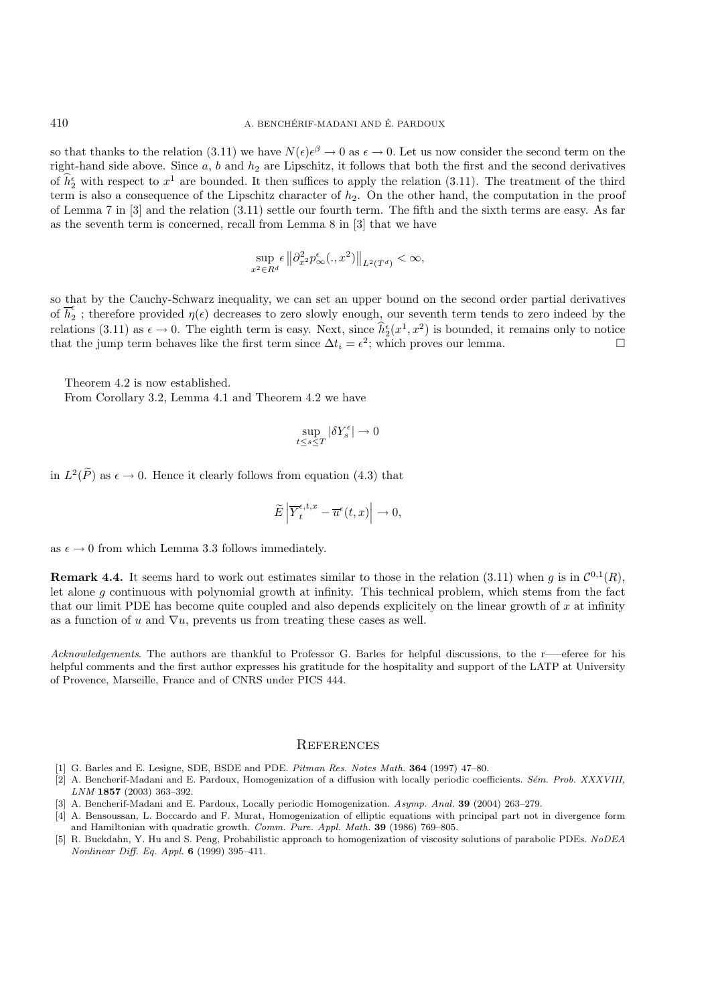so that thanks to the relation (3.11) we have  $N(\epsilon) \epsilon^{\beta} \to 0$  as  $\epsilon \to 0$ . Let us now consider the second term on the right-hand side above. Since  $a, b$  and  $h_2$  are Lipschitz, it follows that both the first and the second derivatives of  $\hat{h}_2^{\epsilon}$  with respect to  $x^1$  are bounded. It then suffices to apply the relation (3.11). The treatment of the third term is also a consequence of the Lipschitz character of  $h_2$ . On the other hand, the computation in the proof of Lemma 7 in [3] and the relation (3.11) settle our fourth term. The fifth and the sixth terms are easy. As far as the seventh term is concerned, recall from Lemma 8 in [3] that we have

$$
\sup_{x^2 \in R^d} \epsilon \left\| \partial_{x^2}^2 p_{\infty}^{\epsilon} (.,x^2) \right\|_{L^2(T^d)} < \infty,
$$

so that by the Cauchy-Schwarz inequality, we can set an upper bound on the second order partial derivatives of  $h_2$ ; therefore provided  $\eta(\epsilon)$  decreases to zero slowly enough, our seventh term tends to zero indeed by the relations (3.11) as  $\epsilon \to 0$ . The eighth term is easy. Next, since  $\hat{h}_2^{\epsilon}(x^1, x^2)$  is bounded, it remains only to notice that the jump term behaves like the first term since  $\Delta t_i = \epsilon^2$ ; which proves our lemma.

Theorem 4.2 is now established.

From Corollary 3.2, Lemma 4.1 and Theorem 4.2 we have

$$
\sup_{t \le s \le T} |\delta Y_s^{\epsilon}| \to 0
$$

in  $L^2(\widetilde{P})$  as  $\epsilon \to 0$ . Hence it clearly follows from equation (4.3) that

$$
\widetilde{E}\left|\overline{Y}^{\epsilon,t,x}_t-\overline{u}^{\epsilon}(t,x)\right|\to 0,
$$

as  $\epsilon \to 0$  from which Lemma 3.3 follows immediately.

**Remark 4.4.** It seems hard to work out estimates similar to those in the relation (3.11) when g is in  $\mathcal{C}^{0,1}(R)$ , let alone g continuous with polynomial growth at infinity. This technical problem, which stems from the fact that our limit PDE has become quite coupled and also depends explicitely on the linear growth of  $x$  at infinity as a function of u and  $\nabla u$ , prevents us from treating these cases as well.

*Acknowledgements*. The authors are thankful to Professor G. Barles for helpful discussions, to the r—–eferee for his helpful comments and the first author expresses his gratitude for the hospitality and support of the LATP at University of Provence, Marseille, France and of CNRS under PICS 444.

#### **REFERENCES**

- [1] G. Barles and E. Lesigne, SDE, BSDE and PDE. Pitman Res. Notes Math. **364** (1997) 47–80.
- [2] A. Bencherif-Madani and E. Pardoux, Homogenization of a diffusion with locally periodic coefficients. Sém. Prob. XXXVIII, LNM **1857** (2003) 363–392.
- [3] A. Bencherif-Madani and E. Pardoux, Locally periodic Homogenization. Asymp. Anal. **39** (2004) 263–279.
- [4] A. Bensoussan, L. Boccardo and F. Murat, Homogenization of elliptic equations with principal part not in divergence form and Hamiltonian with quadratic growth. Comm. Pure. Appl. Math. **39** (1986) 769–805.
- R. Buckdahn, Y. Hu and S. Peng, Probabilistic approach to homogenization of viscosity solutions of parabolic PDEs. NoDEA Nonlinear Diff. Eq. Appl. **6** (1999) 395–411.